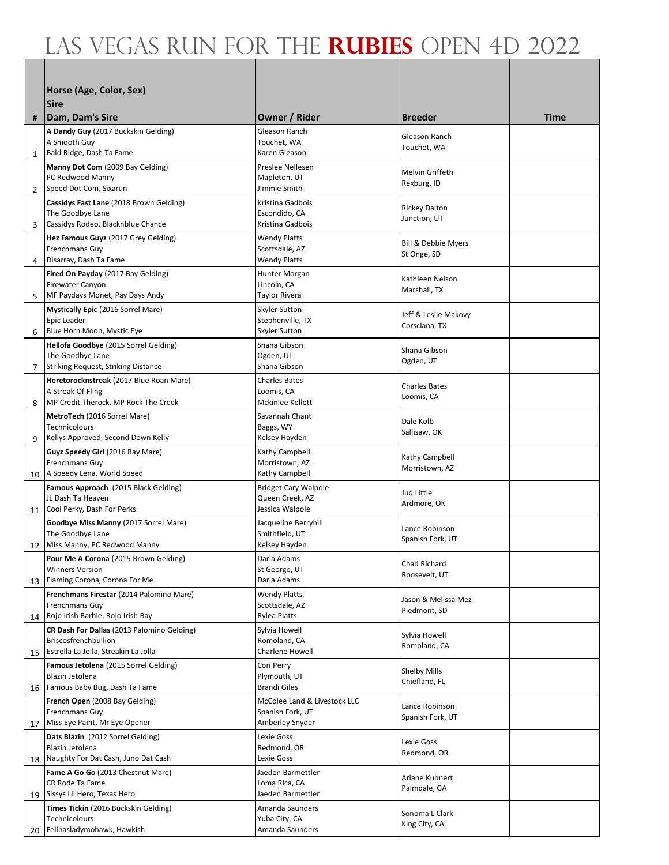|    | Horse (Age, Color, Sex)                                                   |                                                |                                       |      |
|----|---------------------------------------------------------------------------|------------------------------------------------|---------------------------------------|------|
|    | <b>Sire</b>                                                               |                                                |                                       |      |
| #  | Dam, Dam's Sire                                                           | Owner / Rider                                  | <b>Breeder</b>                        | Time |
|    | A Dandy Guy (2017 Buckskin Gelding)                                       | Gleason Ranch                                  | Gleason Ranch                         |      |
| 1  | A Smooth Guy<br>Bald Ridge, Dash Ta Fame                                  | Touchet, WA<br>Karen Gleason                   | Touchet, WA                           |      |
|    | Manny Dot Com (2009 Bay Gelding)                                          | Preslee Nellesen                               |                                       |      |
|    | PC Redwood Manny                                                          | Mapleton, UT                                   | Melvin Griffeth<br>Rexburg, ID        |      |
| 2  | Speed Dot Com, Sixarun                                                    | Jimmie Smith<br>Kristina Gadbois               |                                       |      |
|    | Cassidys Fast Lane (2018 Brown Gelding)<br>The Goodbye Lane               | Escondido, CA                                  | <b>Rickey Dalton</b>                  |      |
| 3  | Cassidys Rodeo, Blacknblue Chance                                         | Kristina Gadbois                               | Junction, UT                          |      |
|    | Hez Famous Guyz (2017 Grey Gelding)<br><b>Frenchmans Guy</b>              | <b>Wendy Platts</b><br>Scottsdale, AZ          | <b>Bill &amp; Debbie Myers</b>        |      |
| 4  | Disarray, Dash Ta Fame                                                    | <b>Wendy Platts</b>                            | St Onge, SD                           |      |
|    | Fired On Payday (2017 Bay Gelding)                                        | Hunter Morgan                                  | Kathleen Nelson                       |      |
| 5  | <b>Firewater Canyon</b><br>MF Paydays Monet, Pay Days Andy                | Lincoln, CA<br><b>Taylor Rivera</b>            | Marshall, TX                          |      |
|    | <b>Mystically Epic</b> (2016 Sorrel Mare)                                 | Skyler Sutton                                  |                                       |      |
|    | Epic Leader                                                               | Stephenville, TX                               | Jeff & Leslie Makovy<br>Corsciana, TX |      |
| 6  | Blue Horn Moon, Mystic Eye                                                | Skyler Sutton                                  |                                       |      |
|    | Hellofa Goodbye (2015 Sorrel Gelding)<br>The Goodbye Lane                 | Shana Gibson<br>Ogden, UT                      | Shana Gibson                          |      |
| 7  | Striking Request, Striking Distance                                       | Shana Gibson                                   | Ogden, UT                             |      |
|    | Heretorocknstreak (2017 Blue Roan Mare)                                   | <b>Charles Bates</b>                           | <b>Charles Bates</b>                  |      |
| 8  | A Streak Of Fling<br>MP Credit Therock, MP Rock The Creek                 | Loomis, CA<br>Mckinlee Kellett                 | Loomis, CA                            |      |
|    | MetroTech (2016 Sorrel Mare)                                              | Savannah Chant                                 | Dale Kolb                             |      |
|    | Technicolours                                                             | Baggs, WY                                      | Sallisaw, OK                          |      |
| 9  | Kellys Approved, Second Down Kelly<br>Guyz Speedy Girl (2016 Bay Mare)    | Kelsey Hayden<br>Kathy Campbell                |                                       |      |
|    | Frenchmans Guy                                                            | Morristown, AZ                                 | Kathy Campbell<br>Morristown, AZ      |      |
| 10 | A Speedy Lena, World Speed                                                | Kathy Campbell                                 |                                       |      |
|    | Famous Approach (2015 Black Gelding)<br>JL Dash Ta Heaven                 | <b>Bridget Cary Walpole</b><br>Queen Creek, AZ | Jud Little                            |      |
| 11 | Cool Perky, Dash For Perks                                                | Jessica Walpole                                | Ardmore, OK                           |      |
|    | Goodbye Miss Manny (2017 Sorrel Mare)                                     | Jacqueline Berryhill                           | Lance Robinson                        |      |
| 12 | The Goodbye Lane<br>Miss Manny, PC Redwood Manny                          | Smithfield, UT<br>Kelsey Hayden                | Spanish Fork, UT                      |      |
|    | Pour Me A Corona (2015 Brown Gelding)                                     | Darla Adams                                    | Chad Richard                          |      |
|    | <b>Winners Version</b>                                                    | St George, UT<br>Darla Adams                   | Roosevelt, UT                         |      |
| 13 | Flaming Corona, Corona For Me<br>Frenchmans Firestar (2014 Palomino Mare) | <b>Wendy Platts</b>                            |                                       |      |
|    | Frenchmans Guy                                                            | Scottsdale, AZ                                 | Jason & Melissa Mez<br>Piedmont, SD   |      |
| 14 | Rojo Irish Barbie, Rojo Irish Bay                                         | Rylea Platts                                   |                                       |      |
|    | CR Dash For Dallas (2013 Palomino Gelding)<br>Briscosfrenchbullion        | Sylvia Howell<br>Romoland, CA                  | Sylvia Howell                         |      |
| 15 | Estrella La Jolla, Streakin La Jolla                                      | Charlene Howell                                | Romoland, CA                          |      |
|    | <b>Famous Jetolena</b> (2015 Sorrel Gelding)                              | Cori Perry                                     | Shelby Mills                          |      |
| 16 | Blazin Jetolena<br>Famous Baby Bug, Dash Ta Fame                          | Plymouth, UT<br><b>Brandi Giles</b>            | Chiefland, FL                         |      |
|    | French Open (2008 Bay Gelding)                                            | McColee Land & Livestock LLC                   | Lance Robinson                        |      |
|    | Frenchmans Guy<br>Miss Eye Paint, Mr Eye Opener                           | Spanish Fork, UT<br>Amberley Snyder            | Spanish Fork, UT                      |      |
| 17 | Dats Blazin (2012 Sorrel Gelding)                                         | Lexie Goss                                     |                                       |      |
|    | Blazin Jetolena                                                           | Redmond, OR                                    | Lexie Goss<br>Redmond, OR             |      |
| 18 | Naughty For Dat Cash, Juno Dat Cash                                       | Lexie Goss                                     |                                       |      |
|    | Fame A Go Go (2013 Chestnut Mare)<br>CR Rode Ta Fame                      | Jaeden Barmettler<br>Loma Rica, CA             | Ariane Kuhnert                        |      |
| 19 | Sissys Lil Hero, Texas Hero                                               | Jaeden Barmettler                              | Palmdale, GA                          |      |
|    | Times Tickin (2016 Buckskin Gelding)<br>Technicolours                     | Amanda Saunders                                | Sonoma L Clark                        |      |
| 20 | Felinasladymohawk, Hawkish                                                | Yuba City, CA<br>Amanda Saunders               | King City, CA                         |      |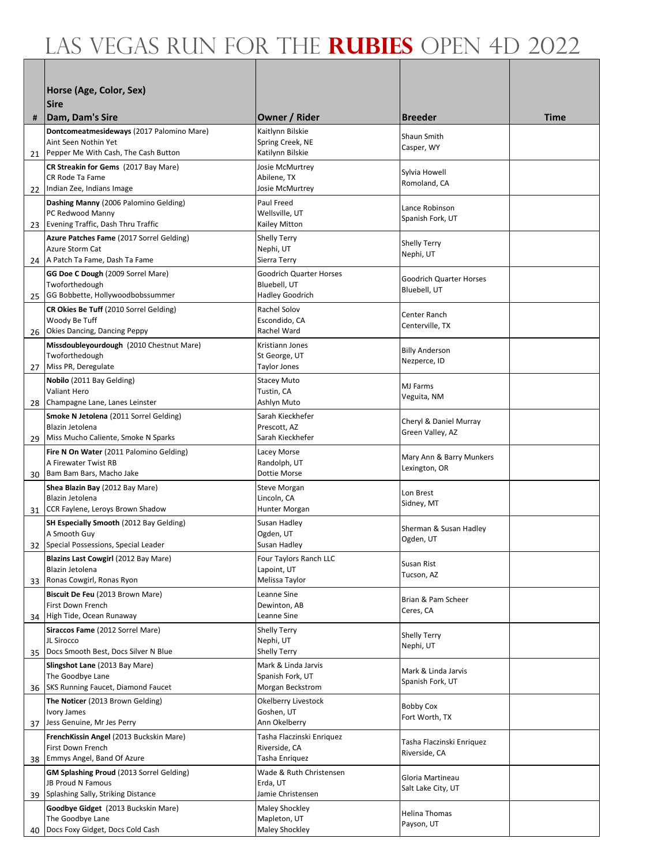|    | Horse (Age, Color, Sex)                                                        |                                            |                                            |             |
|----|--------------------------------------------------------------------------------|--------------------------------------------|--------------------------------------------|-------------|
|    | <b>Sire</b>                                                                    |                                            |                                            |             |
| #  | Dam, Dam's Sire                                                                | <b>Owner / Rider</b>                       | <b>Breeder</b>                             | <b>Time</b> |
|    | Dontcomeatmesideways (2017 Palomino Mare)                                      | Kaitlynn Bilskie                           | Shaun Smith                                |             |
|    | Aint Seen Nothin Yet<br>21 Pepper Me With Cash, The Cash Button                | Spring Creek, NE<br>Katilynn Bilskie       | Casper, WY                                 |             |
|    | CR Streakin for Gems (2017 Bay Mare)                                           | Josie McMurtrey                            |                                            |             |
|    | CR Rode Ta Fame                                                                | Abilene, TX                                | Sylvia Howell<br>Romoland, CA              |             |
| 22 | Indian Zee, Indians Image                                                      | Josie McMurtrey                            |                                            |             |
|    | Dashing Manny (2006 Palomino Gelding)<br>PC Redwood Manny                      | Paul Freed<br>Wellsville, UT               | Lance Robinson                             |             |
|    | 23 Evening Traffic, Dash Thru Traffic                                          | Kailey Mitton                              | Spanish Fork, UT                           |             |
|    | Azure Patches Fame (2017 Sorrel Gelding)<br>Azure Storm Cat                    | Shelly Terry                               | <b>Shelly Terry</b>                        |             |
|    | 24 A Patch Ta Fame, Dash Ta Fame                                               | Nephi, UT<br>Sierra Terry                  | Nephi, UT                                  |             |
|    | GG Doe C Dough (2009 Sorrel Mare)                                              | <b>Goodrich Quarter Horses</b>             | <b>Goodrich Quarter Horses</b>             |             |
|    | Twoforthedough<br>25 GG Bobbette, Hollywoodbobssummer                          | Bluebell, UT<br><b>Hadley Goodrich</b>     | Bluebell, UT                               |             |
|    | CR Okies Be Tuff (2010 Sorrel Gelding)                                         | Rachel Solov                               |                                            |             |
|    | Woody Be Tuff                                                                  | Escondido, CA                              | Center Ranch<br>Centerville, TX            |             |
| 26 | Okies Dancing, Dancing Peppy                                                   | Rachel Ward                                |                                            |             |
|    | Missdoubleyourdough (2010 Chestnut Mare)<br>Twoforthedough                     | Kristiann Jones<br>St George, UT           | <b>Billy Anderson</b>                      |             |
| 27 | Miss PR, Deregulate                                                            | <b>Taylor Jones</b>                        | Nezperce, ID                               |             |
|    | Nobilo (2011 Bay Gelding)                                                      | <b>Stacey Muto</b>                         | <b>MJ Farms</b>                            |             |
| 28 | <b>Valiant Hero</b><br>Champagne Lane, Lanes Leinster                          | Tustin, CA<br>Ashlyn Muto                  | Veguita, NM                                |             |
|    | Smoke N Jetolena (2011 Sorrel Gelding)                                         | Sarah Kieckhefer                           | Cheryl & Daniel Murray                     |             |
|    | Blazin Jetolena                                                                | Prescott, AZ                               | Green Valley, AZ                           |             |
| 29 | Miss Mucho Caliente, Smoke N Sparks<br>Fire N On Water (2011 Palomino Gelding) | Sarah Kieckhefer<br>Lacey Morse            |                                            |             |
|    | A Firewater Twist RB                                                           | Randolph, UT                               | Mary Ann & Barry Munkers<br>Lexington, OR  |             |
| 30 | Bam Bam Bars, Macho Jake                                                       | <b>Dottie Morse</b>                        |                                            |             |
|    | Shea Blazin Bay (2012 Bay Mare)<br>Blazin Jetolena                             | Steve Morgan<br>Lincoln, CA                | Lon Brest                                  |             |
|    | 31 CCR Faylene, Leroys Brown Shadow                                            | Hunter Morgan                              | Sidney, MT                                 |             |
|    | SH Especially Smooth (2012 Bay Gelding)                                        | Susan Hadley                               | Sherman & Susan Hadley                     |             |
| 32 | A Smooth Guy<br>Special Possessions, Special Leader                            | Ogden, UT<br>Susan Hadley                  | Ogden, UT                                  |             |
|    | Blazins Last Cowgirl (2012 Bay Mare)                                           | Four Taylors Ranch LLC                     | Susan Rist                                 |             |
|    | Blazin Jetolena                                                                | Lapoint, UT                                | Tucson, AZ                                 |             |
| 33 | Ronas Cowgirl, Ronas Ryon<br>Biscuit De Feu (2013 Brown Mare)                  | Melissa Taylor<br>Leanne Sine              |                                            |             |
|    | First Down French                                                              | Dewinton, AB                               | Brian & Pam Scheer<br>Ceres, CA            |             |
| 34 | High Tide, Ocean Runaway                                                       | Leanne Sine                                |                                            |             |
|    | Siraccos Fame (2012 Sorrel Mare)<br>JL Sirocco                                 | Shelly Terry<br>Nephi, UT                  | Shelly Terry                               |             |
| 35 | Docs Smooth Best, Docs Silver N Blue                                           | <b>Shelly Terry</b>                        | Nephi, UT                                  |             |
|    | Slingshot Lane (2013 Bay Mare)                                                 | Mark & Linda Jarvis                        | Mark & Linda Jarvis                        |             |
| 36 | The Goodbye Lane<br>SKS Running Faucet, Diamond Faucet                         | Spanish Fork, UT<br>Morgan Beckstrom       | Spanish Fork, UT                           |             |
|    | The Noticer (2013 Brown Gelding)                                               | Okelberry Livestock                        | <b>Bobby Cox</b>                           |             |
|    | Ivory James                                                                    | Goshen, UT                                 | Fort Worth, TX                             |             |
|    | 37 Jess Genuine, Mr Jes Perry<br>FrenchKissin Angel (2013 Buckskin Mare)       | Ann Okelberry<br>Tasha Flaczinski Enriquez |                                            |             |
|    | First Down French                                                              | Riverside, CA                              | Tasha Flaczinski Enriquez<br>Riverside, CA |             |
| 38 | Emmys Angel, Band Of Azure                                                     | Tasha Enriquez                             |                                            |             |
|    | <b>GM Splashing Proud</b> (2013 Sorrel Gelding)<br>JB Proud N Famous           | Wade & Ruth Christensen<br>Erda, UT        | Gloria Martineau                           |             |
| 39 | Splashing Sally, Striking Distance                                             | Jamie Christensen                          | Salt Lake City, UT                         |             |
|    | Goodbye Gidget (2013 Buckskin Mare)                                            | Maley Shockley                             | Helina Thomas                              |             |
| 40 | The Goodbye Lane<br>Docs Foxy Gidget, Docs Cold Cash                           | Mapleton, UT<br>Maley Shockley             | Payson, UT                                 |             |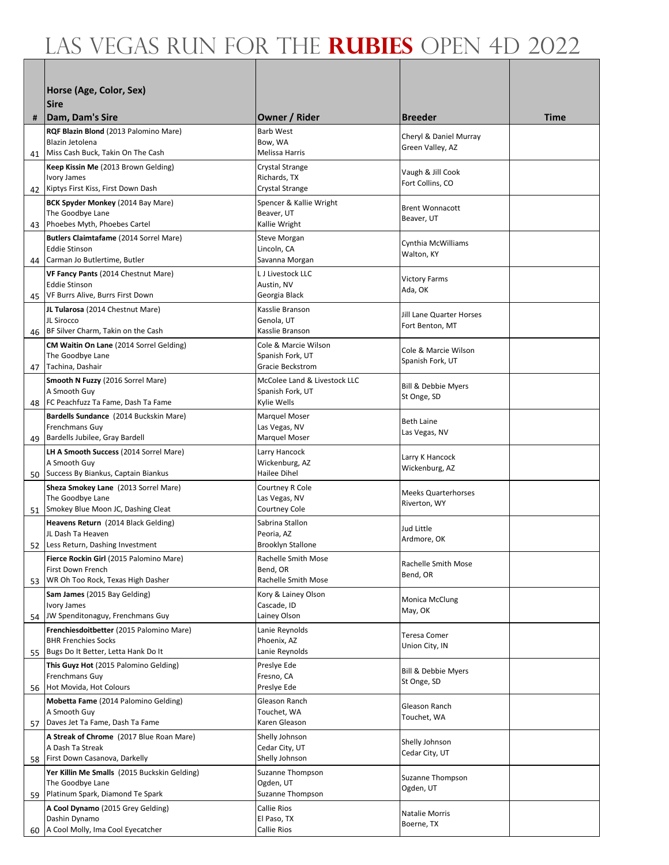|    | Horse (Age, Color, Sex)                                                     |                                          |                                                    |      |
|----|-----------------------------------------------------------------------------|------------------------------------------|----------------------------------------------------|------|
|    | <b>Sire</b>                                                                 |                                          |                                                    |      |
| #  | Dam, Dam's Sire                                                             | Owner / Rider                            | <b>Breeder</b>                                     | Time |
|    | RQF Blazin Blond (2013 Palomino Mare)                                       | <b>Barb West</b>                         | Cheryl & Daniel Murray                             |      |
|    | Blazin Jetolena<br>41 Miss Cash Buck, Takin On The Cash                     | Bow, WA<br>Melissa Harris                | Green Valley, AZ                                   |      |
|    | Keep Kissin Me (2013 Brown Gelding)                                         | Crystal Strange                          |                                                    |      |
|    | Ivory James                                                                 | Richards, TX                             | Vaugh & Jill Cook<br>Fort Collins, CO              |      |
|    | 42 Kiptys First Kiss, First Down Dash                                       | Crystal Strange                          |                                                    |      |
|    | BCK Spyder Monkey (2014 Bay Mare)<br>The Goodbye Lane                       | Spencer & Kallie Wright<br>Beaver, UT    | <b>Brent Wonnacott</b>                             |      |
|    | 43 Phoebes Myth, Phoebes Cartel                                             | Kallie Wright                            | Beaver, UT                                         |      |
|    | Butlers Claimtafame (2014 Sorrel Mare)<br><b>Eddie Stinson</b>              | Steve Morgan<br>Lincoln, CA              | Cynthia McWilliams                                 |      |
|    | 44 Carman Jo Butlertime, Butler                                             | Savanna Morgan                           | Walton, KY                                         |      |
|    | VF Fancy Pants (2014 Chestnut Mare)                                         | L J Livestock LLC                        | <b>Victory Farms</b>                               |      |
| 45 | Eddie Stinson<br>VF Burrs Alive, Burrs First Down                           | Austin, NV<br>Georgia Black              | Ada, OK                                            |      |
|    | JL Tularosa (2014 Chestnut Mare)                                            | Kasslie Branson                          |                                                    |      |
|    | JL Sirocco                                                                  | Genola, UT                               | <b>Jill Lane Quarter Horses</b><br>Fort Benton, MT |      |
| 46 | BF Silver Charm, Takin on the Cash                                          | Kasslie Branson                          |                                                    |      |
|    | CM Waitin On Lane (2014 Sorrel Gelding)<br>The Goodbye Lane                 | Cole & Marcie Wilson<br>Spanish Fork, UT | Cole & Marcie Wilson                               |      |
| 47 | Tachina, Dashair                                                            | Gracie Beckstrom                         | Spanish Fork, UT                                   |      |
|    | Smooth N Fuzzy (2016 Sorrel Mare)                                           | McColee Land & Livestock LLC             | <b>Bill &amp; Debbie Myers</b>                     |      |
| 48 | A Smooth Guy<br>FC Peachfuzz Ta Fame, Dash Ta Fame                          | Spanish Fork, UT<br>Kylie Wells          | St Onge, SD                                        |      |
|    | Bardells Sundance (2014 Buckskin Mare)                                      | <b>Marquel Moser</b>                     | <b>Beth Laine</b>                                  |      |
|    | Frenchmans Guy                                                              | Las Vegas, NV                            | Las Vegas, NV                                      |      |
| 49 | Bardells Jubilee, Gray Bardell<br>LH A Smooth Success (2014 Sorrel Mare)    | Marquel Moser<br>Larry Hancock           |                                                    |      |
|    | A Smooth Guy                                                                | Wickenburg, AZ                           | Larry K Hancock<br>Wickenburg, AZ                  |      |
|    | 50 Success By Biankus, Captain Biankus                                      | Hailee Dihel                             |                                                    |      |
|    | Sheza Smokey Lane (2013 Sorrel Mare)<br>The Goodbye Lane                    | Courtney R Cole<br>Las Vegas, NV         | <b>Meeks Quarterhorses</b>                         |      |
|    | 51 Smokey Blue Moon JC, Dashing Cleat                                       | <b>Courtney Cole</b>                     | Riverton, WY                                       |      |
|    | Heavens Return (2014 Black Gelding)                                         | Sabrina Stallon                          | Jud Little                                         |      |
|    | JL Dash Ta Heaven<br>52 Less Return, Dashing Investment                     | Peoria, AZ<br><b>Brooklyn Stallone</b>   | Ardmore, OK                                        |      |
|    | Fierce Rockin Girl (2015 Palomino Mare)                                     | Rachelle Smith Mose                      | Rachelle Smith Mose                                |      |
|    | First Down French<br>WR Oh Too Rock, Texas High Dasher                      | Bend, OR<br>Rachelle Smith Mose          | Bend, OR                                           |      |
| 53 | Sam James (2015 Bay Gelding)                                                | Kory & Lainey Olson                      |                                                    |      |
|    | Ivory James                                                                 | Cascade, ID                              | Monica McClung<br>May, OK                          |      |
| 54 | JW Spenditonaguy, Frenchmans Guy                                            | Lainey Olson                             |                                                    |      |
|    | Frenchiesdoitbetter (2015 Palomino Mare)<br><b>BHR Frenchies Socks</b>      | Lanie Reynolds<br>Phoenix, AZ            | Teresa Comer                                       |      |
| 55 | Bugs Do It Better, Letta Hank Do It                                         | Lanie Reynolds                           | Union City, IN                                     |      |
|    | This Guyz Hot (2015 Palomino Gelding)                                       | Preslye Ede                              | <b>Bill &amp; Debbie Myers</b>                     |      |
| 56 | Frenchmans Guy<br>Hot Movida, Hot Colours                                   | Fresno, CA<br>Preslye Ede                | St Onge, SD                                        |      |
|    | Mobetta Fame (2014 Palomino Gelding)                                        | Gleason Ranch                            | Gleason Ranch                                      |      |
|    | A Smooth Guy                                                                | Touchet, WA<br>Karen Gleason             | Touchet, WA                                        |      |
| 57 | Daves Jet Ta Fame, Dash Ta Fame<br>A Streak of Chrome (2017 Blue Roan Mare) | Shelly Johnson                           |                                                    |      |
|    | A Dash Ta Streak                                                            | Cedar City, UT                           | Shelly Johnson<br>Cedar City, UT                   |      |
| 58 | First Down Casanova, Darkelly                                               | Shelly Johnson                           |                                                    |      |
|    | Yer Killin Me Smalls (2015 Buckskin Gelding)<br>The Goodbye Lane            | Suzanne Thompson<br>Ogden, UT            | Suzanne Thompson                                   |      |
| 59 | Platinum Spark, Diamond Te Spark                                            | Suzanne Thompson                         | Ogden, UT                                          |      |
|    | A Cool Dynamo (2015 Grey Gelding)                                           | Callie Rios                              | Natalie Morris                                     |      |
| 60 | Dashin Dynamo<br>A Cool Molly, Ima Cool Eyecatcher                          | El Paso, TX<br>Callie Rios               | Boerne, TX                                         |      |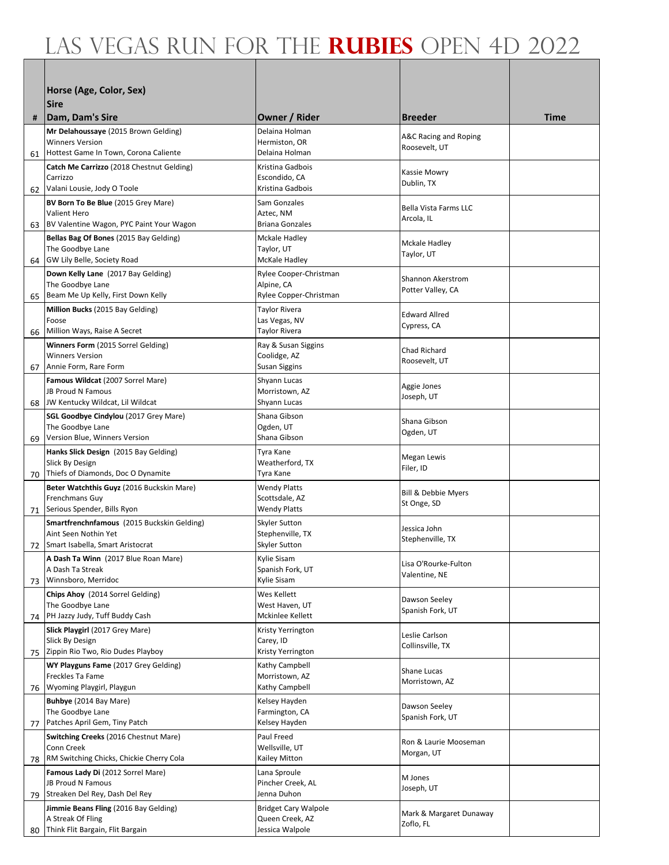| Horse (Age, Color, Sex)<br><b>Sire</b><br>Owner / Rider<br> Dam, Dam's Sire<br><b>Breeder</b><br>Time<br>#<br>Mr Delahoussaye (2015 Brown Gelding)<br>Delaina Holman<br>A&C Racing and Roping<br><b>Winners Version</b><br>Hermiston, OR<br>Roosevelt, UT<br>Hottest Game In Town, Corona Caliente<br>Delaina Holman<br>61<br>Catch Me Carrizzo (2018 Chestnut Gelding)<br>Kristina Gadbois<br>Kassie Mowry<br>Carrizzo<br>Escondido, CA<br>Dublin, TX<br>Valani Lousie, Jody O Toole<br>Kristina Gadbois<br>62<br>BV Born To Be Blue (2015 Grey Mare)<br>Sam Gonzales<br><b>Bella Vista Farms LLC</b><br><b>Valient Hero</b><br>Aztec, NM<br>Arcola, IL<br>BV Valentine Wagon, PYC Paint Your Wagon<br><b>Briana Gonzales</b><br>63<br>Bellas Bag Of Bones (2015 Bay Gelding)<br>Mckale Hadley<br>Mckale Hadley<br>The Goodbye Lane<br>Taylor, UT<br>Taylor, UT<br>GW Lily Belle, Society Road<br>McKale Hadley<br>64<br>Down Kelly Lane (2017 Bay Gelding)<br>Rylee Cooper-Christman<br><b>Shannon Akerstrom</b><br>The Goodbye Lane<br>Alpine, CA<br>Potter Valley, CA<br>Beam Me Up Kelly, First Down Kelly<br>Rylee Copper-Christman<br>65<br>Million Bucks (2015 Bay Gelding)<br><b>Taylor Rivera</b><br><b>Edward Allred</b><br>Las Vegas, NV<br>Foose<br>Cypress, CA<br>Million Ways, Raise A Secret<br><b>Taylor Rivera</b><br>66<br>Winners Form (2015 Sorrel Gelding)<br>Ray & Susan Siggins<br>Chad Richard<br><b>Winners Version</b><br>Coolidge, AZ<br>Roosevelt, UT<br><b>Susan Siggins</b><br>Annie Form, Rare Form<br>67<br>Famous Wildcat (2007 Sorrel Mare)<br>Shyann Lucas<br>Aggie Jones<br>JB Proud N Famous<br>Morristown, AZ<br>Joseph, UT<br>JW Kentucky Wildcat, Lil Wildcat<br>Shyann Lucas<br>68<br>SGL Goodbye Cindylou (2017 Grey Mare)<br>Shana Gibson<br>Shana Gibson<br>The Goodbye Lane<br>Ogden, UT<br>Ogden, UT<br>Version Blue, Winners Version<br>Shana Gibson<br>69<br>Hanks Slick Design (2015 Bay Gelding)<br>Tyra Kane<br>Megan Lewis<br>Slick By Design<br>Weatherford, TX<br>Filer, ID<br>Thiefs of Diamonds, Doc O Dynamite<br>Tyra Kane<br>70<br>Beter Watchthis Guyz (2016 Buckskin Mare)<br>Wendy Platts<br><b>Bill &amp; Debbie Myers</b><br>Frenchmans Guy<br>Scottsdale, AZ<br>St Onge, SD<br><b>Wendy Platts</b><br>Serious Spender, Bills Ryon<br>71<br>Smartfrenchnfamous (2015 Buckskin Gelding)<br>Skyler Sutton<br>Jessica John<br>Aint Seen Nothin Yet<br>Stephenville, TX<br>Stephenville, TX<br>Skyler Sutton<br>Smart Isabella, Smart Aristocrat<br>72<br>Kylie Sisam<br>A Dash Ta Winn (2017 Blue Roan Mare)<br>Lisa O'Rourke-Fulton<br>A Dash Ta Streak<br>Spanish Fork, UT<br>Valentine, NE<br>Winnsboro, Merridoc<br>Kylie Sisam<br>73<br>Chips Ahoy (2014 Sorrel Gelding)<br>Wes Kellett<br>Dawson Seeley<br>The Goodbye Lane<br>West Haven, UT<br>Spanish Fork, UT<br>PH Jazzy Judy, Tuff Buddy Cash<br>Mckinlee Kellett<br>74<br>Slick Playgirl (2017 Grey Mare)<br>Kristy Yerrington<br>Leslie Carlson<br>Slick By Design<br>Carey, ID<br>Collinsville, TX<br>Zippin Rio Two, Rio Dudes Playboy<br>Kristy Yerrington<br>75<br>WY Playguns Fame (2017 Grey Gelding)<br>Kathy Campbell<br>Shane Lucas<br><b>Freckles Ta Fame</b><br>Morristown, AZ<br>Morristown, AZ<br>Wyoming Playgirl, Playgun<br>Kathy Campbell<br>76<br>Buhbye (2014 Bay Mare)<br>Kelsey Hayden<br>Dawson Seeley<br>The Goodbye Lane<br>Farmington, CA<br>Spanish Fork, UT<br>Patches April Gem, Tiny Patch<br>Kelsey Hayden<br>77<br>Paul Freed<br>Switching Creeks (2016 Chestnut Mare)<br>Ron & Laurie Mooseman<br>Conn Creek<br>Wellsville, UT<br>Morgan, UT<br>RM Switching Chicks, Chickie Cherry Cola<br>Kailey Mitton<br>78 |    |                                   |                                    |           |  |
|-----------------------------------------------------------------------------------------------------------------------------------------------------------------------------------------------------------------------------------------------------------------------------------------------------------------------------------------------------------------------------------------------------------------------------------------------------------------------------------------------------------------------------------------------------------------------------------------------------------------------------------------------------------------------------------------------------------------------------------------------------------------------------------------------------------------------------------------------------------------------------------------------------------------------------------------------------------------------------------------------------------------------------------------------------------------------------------------------------------------------------------------------------------------------------------------------------------------------------------------------------------------------------------------------------------------------------------------------------------------------------------------------------------------------------------------------------------------------------------------------------------------------------------------------------------------------------------------------------------------------------------------------------------------------------------------------------------------------------------------------------------------------------------------------------------------------------------------------------------------------------------------------------------------------------------------------------------------------------------------------------------------------------------------------------------------------------------------------------------------------------------------------------------------------------------------------------------------------------------------------------------------------------------------------------------------------------------------------------------------------------------------------------------------------------------------------------------------------------------------------------------------------------------------------------------------------------------------------------------------------------------------------------------------------------------------------------------------------------------------------------------------------------------------------------------------------------------------------------------------------------------------------------------------------------------------------------------------------------------------------------------------------------------------------------------------------------------------------------------------------------------------------------------------------------------------------------------------------------------------------------------------------------------------------------------------------------------------------------------------------------------------------------------------------------------------------------------------------------------------------------------------------------------------------------------------------------------------------------------------------------------------------------------------------------|----|-----------------------------------|------------------------------------|-----------|--|
|                                                                                                                                                                                                                                                                                                                                                                                                                                                                                                                                                                                                                                                                                                                                                                                                                                                                                                                                                                                                                                                                                                                                                                                                                                                                                                                                                                                                                                                                                                                                                                                                                                                                                                                                                                                                                                                                                                                                                                                                                                                                                                                                                                                                                                                                                                                                                                                                                                                                                                                                                                                                                                                                                                                                                                                                                                                                                                                                                                                                                                                                                                                                                                                                                                                                                                                                                                                                                                                                                                                                                                                                                                                                             |    |                                   |                                    |           |  |
|                                                                                                                                                                                                                                                                                                                                                                                                                                                                                                                                                                                                                                                                                                                                                                                                                                                                                                                                                                                                                                                                                                                                                                                                                                                                                                                                                                                                                                                                                                                                                                                                                                                                                                                                                                                                                                                                                                                                                                                                                                                                                                                                                                                                                                                                                                                                                                                                                                                                                                                                                                                                                                                                                                                                                                                                                                                                                                                                                                                                                                                                                                                                                                                                                                                                                                                                                                                                                                                                                                                                                                                                                                                                             |    |                                   |                                    |           |  |
|                                                                                                                                                                                                                                                                                                                                                                                                                                                                                                                                                                                                                                                                                                                                                                                                                                                                                                                                                                                                                                                                                                                                                                                                                                                                                                                                                                                                                                                                                                                                                                                                                                                                                                                                                                                                                                                                                                                                                                                                                                                                                                                                                                                                                                                                                                                                                                                                                                                                                                                                                                                                                                                                                                                                                                                                                                                                                                                                                                                                                                                                                                                                                                                                                                                                                                                                                                                                                                                                                                                                                                                                                                                                             |    |                                   |                                    |           |  |
|                                                                                                                                                                                                                                                                                                                                                                                                                                                                                                                                                                                                                                                                                                                                                                                                                                                                                                                                                                                                                                                                                                                                                                                                                                                                                                                                                                                                                                                                                                                                                                                                                                                                                                                                                                                                                                                                                                                                                                                                                                                                                                                                                                                                                                                                                                                                                                                                                                                                                                                                                                                                                                                                                                                                                                                                                                                                                                                                                                                                                                                                                                                                                                                                                                                                                                                                                                                                                                                                                                                                                                                                                                                                             |    |                                   |                                    |           |  |
|                                                                                                                                                                                                                                                                                                                                                                                                                                                                                                                                                                                                                                                                                                                                                                                                                                                                                                                                                                                                                                                                                                                                                                                                                                                                                                                                                                                                                                                                                                                                                                                                                                                                                                                                                                                                                                                                                                                                                                                                                                                                                                                                                                                                                                                                                                                                                                                                                                                                                                                                                                                                                                                                                                                                                                                                                                                                                                                                                                                                                                                                                                                                                                                                                                                                                                                                                                                                                                                                                                                                                                                                                                                                             |    |                                   |                                    |           |  |
|                                                                                                                                                                                                                                                                                                                                                                                                                                                                                                                                                                                                                                                                                                                                                                                                                                                                                                                                                                                                                                                                                                                                                                                                                                                                                                                                                                                                                                                                                                                                                                                                                                                                                                                                                                                                                                                                                                                                                                                                                                                                                                                                                                                                                                                                                                                                                                                                                                                                                                                                                                                                                                                                                                                                                                                                                                                                                                                                                                                                                                                                                                                                                                                                                                                                                                                                                                                                                                                                                                                                                                                                                                                                             |    |                                   |                                    |           |  |
|                                                                                                                                                                                                                                                                                                                                                                                                                                                                                                                                                                                                                                                                                                                                                                                                                                                                                                                                                                                                                                                                                                                                                                                                                                                                                                                                                                                                                                                                                                                                                                                                                                                                                                                                                                                                                                                                                                                                                                                                                                                                                                                                                                                                                                                                                                                                                                                                                                                                                                                                                                                                                                                                                                                                                                                                                                                                                                                                                                                                                                                                                                                                                                                                                                                                                                                                                                                                                                                                                                                                                                                                                                                                             |    |                                   |                                    |           |  |
|                                                                                                                                                                                                                                                                                                                                                                                                                                                                                                                                                                                                                                                                                                                                                                                                                                                                                                                                                                                                                                                                                                                                                                                                                                                                                                                                                                                                                                                                                                                                                                                                                                                                                                                                                                                                                                                                                                                                                                                                                                                                                                                                                                                                                                                                                                                                                                                                                                                                                                                                                                                                                                                                                                                                                                                                                                                                                                                                                                                                                                                                                                                                                                                                                                                                                                                                                                                                                                                                                                                                                                                                                                                                             |    |                                   |                                    |           |  |
|                                                                                                                                                                                                                                                                                                                                                                                                                                                                                                                                                                                                                                                                                                                                                                                                                                                                                                                                                                                                                                                                                                                                                                                                                                                                                                                                                                                                                                                                                                                                                                                                                                                                                                                                                                                                                                                                                                                                                                                                                                                                                                                                                                                                                                                                                                                                                                                                                                                                                                                                                                                                                                                                                                                                                                                                                                                                                                                                                                                                                                                                                                                                                                                                                                                                                                                                                                                                                                                                                                                                                                                                                                                                             |    |                                   |                                    |           |  |
|                                                                                                                                                                                                                                                                                                                                                                                                                                                                                                                                                                                                                                                                                                                                                                                                                                                                                                                                                                                                                                                                                                                                                                                                                                                                                                                                                                                                                                                                                                                                                                                                                                                                                                                                                                                                                                                                                                                                                                                                                                                                                                                                                                                                                                                                                                                                                                                                                                                                                                                                                                                                                                                                                                                                                                                                                                                                                                                                                                                                                                                                                                                                                                                                                                                                                                                                                                                                                                                                                                                                                                                                                                                                             |    |                                   |                                    |           |  |
|                                                                                                                                                                                                                                                                                                                                                                                                                                                                                                                                                                                                                                                                                                                                                                                                                                                                                                                                                                                                                                                                                                                                                                                                                                                                                                                                                                                                                                                                                                                                                                                                                                                                                                                                                                                                                                                                                                                                                                                                                                                                                                                                                                                                                                                                                                                                                                                                                                                                                                                                                                                                                                                                                                                                                                                                                                                                                                                                                                                                                                                                                                                                                                                                                                                                                                                                                                                                                                                                                                                                                                                                                                                                             |    |                                   |                                    |           |  |
|                                                                                                                                                                                                                                                                                                                                                                                                                                                                                                                                                                                                                                                                                                                                                                                                                                                                                                                                                                                                                                                                                                                                                                                                                                                                                                                                                                                                                                                                                                                                                                                                                                                                                                                                                                                                                                                                                                                                                                                                                                                                                                                                                                                                                                                                                                                                                                                                                                                                                                                                                                                                                                                                                                                                                                                                                                                                                                                                                                                                                                                                                                                                                                                                                                                                                                                                                                                                                                                                                                                                                                                                                                                                             |    |                                   |                                    |           |  |
|                                                                                                                                                                                                                                                                                                                                                                                                                                                                                                                                                                                                                                                                                                                                                                                                                                                                                                                                                                                                                                                                                                                                                                                                                                                                                                                                                                                                                                                                                                                                                                                                                                                                                                                                                                                                                                                                                                                                                                                                                                                                                                                                                                                                                                                                                                                                                                                                                                                                                                                                                                                                                                                                                                                                                                                                                                                                                                                                                                                                                                                                                                                                                                                                                                                                                                                                                                                                                                                                                                                                                                                                                                                                             |    |                                   |                                    |           |  |
|                                                                                                                                                                                                                                                                                                                                                                                                                                                                                                                                                                                                                                                                                                                                                                                                                                                                                                                                                                                                                                                                                                                                                                                                                                                                                                                                                                                                                                                                                                                                                                                                                                                                                                                                                                                                                                                                                                                                                                                                                                                                                                                                                                                                                                                                                                                                                                                                                                                                                                                                                                                                                                                                                                                                                                                                                                                                                                                                                                                                                                                                                                                                                                                                                                                                                                                                                                                                                                                                                                                                                                                                                                                                             |    |                                   |                                    |           |  |
|                                                                                                                                                                                                                                                                                                                                                                                                                                                                                                                                                                                                                                                                                                                                                                                                                                                                                                                                                                                                                                                                                                                                                                                                                                                                                                                                                                                                                                                                                                                                                                                                                                                                                                                                                                                                                                                                                                                                                                                                                                                                                                                                                                                                                                                                                                                                                                                                                                                                                                                                                                                                                                                                                                                                                                                                                                                                                                                                                                                                                                                                                                                                                                                                                                                                                                                                                                                                                                                                                                                                                                                                                                                                             |    |                                   |                                    |           |  |
|                                                                                                                                                                                                                                                                                                                                                                                                                                                                                                                                                                                                                                                                                                                                                                                                                                                                                                                                                                                                                                                                                                                                                                                                                                                                                                                                                                                                                                                                                                                                                                                                                                                                                                                                                                                                                                                                                                                                                                                                                                                                                                                                                                                                                                                                                                                                                                                                                                                                                                                                                                                                                                                                                                                                                                                                                                                                                                                                                                                                                                                                                                                                                                                                                                                                                                                                                                                                                                                                                                                                                                                                                                                                             |    |                                   |                                    |           |  |
|                                                                                                                                                                                                                                                                                                                                                                                                                                                                                                                                                                                                                                                                                                                                                                                                                                                                                                                                                                                                                                                                                                                                                                                                                                                                                                                                                                                                                                                                                                                                                                                                                                                                                                                                                                                                                                                                                                                                                                                                                                                                                                                                                                                                                                                                                                                                                                                                                                                                                                                                                                                                                                                                                                                                                                                                                                                                                                                                                                                                                                                                                                                                                                                                                                                                                                                                                                                                                                                                                                                                                                                                                                                                             |    |                                   |                                    |           |  |
|                                                                                                                                                                                                                                                                                                                                                                                                                                                                                                                                                                                                                                                                                                                                                                                                                                                                                                                                                                                                                                                                                                                                                                                                                                                                                                                                                                                                                                                                                                                                                                                                                                                                                                                                                                                                                                                                                                                                                                                                                                                                                                                                                                                                                                                                                                                                                                                                                                                                                                                                                                                                                                                                                                                                                                                                                                                                                                                                                                                                                                                                                                                                                                                                                                                                                                                                                                                                                                                                                                                                                                                                                                                                             |    |                                   |                                    |           |  |
|                                                                                                                                                                                                                                                                                                                                                                                                                                                                                                                                                                                                                                                                                                                                                                                                                                                                                                                                                                                                                                                                                                                                                                                                                                                                                                                                                                                                                                                                                                                                                                                                                                                                                                                                                                                                                                                                                                                                                                                                                                                                                                                                                                                                                                                                                                                                                                                                                                                                                                                                                                                                                                                                                                                                                                                                                                                                                                                                                                                                                                                                                                                                                                                                                                                                                                                                                                                                                                                                                                                                                                                                                                                                             |    |                                   |                                    |           |  |
|                                                                                                                                                                                                                                                                                                                                                                                                                                                                                                                                                                                                                                                                                                                                                                                                                                                                                                                                                                                                                                                                                                                                                                                                                                                                                                                                                                                                                                                                                                                                                                                                                                                                                                                                                                                                                                                                                                                                                                                                                                                                                                                                                                                                                                                                                                                                                                                                                                                                                                                                                                                                                                                                                                                                                                                                                                                                                                                                                                                                                                                                                                                                                                                                                                                                                                                                                                                                                                                                                                                                                                                                                                                                             |    |                                   |                                    |           |  |
|                                                                                                                                                                                                                                                                                                                                                                                                                                                                                                                                                                                                                                                                                                                                                                                                                                                                                                                                                                                                                                                                                                                                                                                                                                                                                                                                                                                                                                                                                                                                                                                                                                                                                                                                                                                                                                                                                                                                                                                                                                                                                                                                                                                                                                                                                                                                                                                                                                                                                                                                                                                                                                                                                                                                                                                                                                                                                                                                                                                                                                                                                                                                                                                                                                                                                                                                                                                                                                                                                                                                                                                                                                                                             |    |                                   |                                    |           |  |
|                                                                                                                                                                                                                                                                                                                                                                                                                                                                                                                                                                                                                                                                                                                                                                                                                                                                                                                                                                                                                                                                                                                                                                                                                                                                                                                                                                                                                                                                                                                                                                                                                                                                                                                                                                                                                                                                                                                                                                                                                                                                                                                                                                                                                                                                                                                                                                                                                                                                                                                                                                                                                                                                                                                                                                                                                                                                                                                                                                                                                                                                                                                                                                                                                                                                                                                                                                                                                                                                                                                                                                                                                                                                             |    |                                   |                                    |           |  |
|                                                                                                                                                                                                                                                                                                                                                                                                                                                                                                                                                                                                                                                                                                                                                                                                                                                                                                                                                                                                                                                                                                                                                                                                                                                                                                                                                                                                                                                                                                                                                                                                                                                                                                                                                                                                                                                                                                                                                                                                                                                                                                                                                                                                                                                                                                                                                                                                                                                                                                                                                                                                                                                                                                                                                                                                                                                                                                                                                                                                                                                                                                                                                                                                                                                                                                                                                                                                                                                                                                                                                                                                                                                                             |    |                                   |                                    |           |  |
|                                                                                                                                                                                                                                                                                                                                                                                                                                                                                                                                                                                                                                                                                                                                                                                                                                                                                                                                                                                                                                                                                                                                                                                                                                                                                                                                                                                                                                                                                                                                                                                                                                                                                                                                                                                                                                                                                                                                                                                                                                                                                                                                                                                                                                                                                                                                                                                                                                                                                                                                                                                                                                                                                                                                                                                                                                                                                                                                                                                                                                                                                                                                                                                                                                                                                                                                                                                                                                                                                                                                                                                                                                                                             |    |                                   |                                    |           |  |
|                                                                                                                                                                                                                                                                                                                                                                                                                                                                                                                                                                                                                                                                                                                                                                                                                                                                                                                                                                                                                                                                                                                                                                                                                                                                                                                                                                                                                                                                                                                                                                                                                                                                                                                                                                                                                                                                                                                                                                                                                                                                                                                                                                                                                                                                                                                                                                                                                                                                                                                                                                                                                                                                                                                                                                                                                                                                                                                                                                                                                                                                                                                                                                                                                                                                                                                                                                                                                                                                                                                                                                                                                                                                             |    |                                   |                                    |           |  |
|                                                                                                                                                                                                                                                                                                                                                                                                                                                                                                                                                                                                                                                                                                                                                                                                                                                                                                                                                                                                                                                                                                                                                                                                                                                                                                                                                                                                                                                                                                                                                                                                                                                                                                                                                                                                                                                                                                                                                                                                                                                                                                                                                                                                                                                                                                                                                                                                                                                                                                                                                                                                                                                                                                                                                                                                                                                                                                                                                                                                                                                                                                                                                                                                                                                                                                                                                                                                                                                                                                                                                                                                                                                                             |    |                                   |                                    |           |  |
|                                                                                                                                                                                                                                                                                                                                                                                                                                                                                                                                                                                                                                                                                                                                                                                                                                                                                                                                                                                                                                                                                                                                                                                                                                                                                                                                                                                                                                                                                                                                                                                                                                                                                                                                                                                                                                                                                                                                                                                                                                                                                                                                                                                                                                                                                                                                                                                                                                                                                                                                                                                                                                                                                                                                                                                                                                                                                                                                                                                                                                                                                                                                                                                                                                                                                                                                                                                                                                                                                                                                                                                                                                                                             |    |                                   |                                    |           |  |
|                                                                                                                                                                                                                                                                                                                                                                                                                                                                                                                                                                                                                                                                                                                                                                                                                                                                                                                                                                                                                                                                                                                                                                                                                                                                                                                                                                                                                                                                                                                                                                                                                                                                                                                                                                                                                                                                                                                                                                                                                                                                                                                                                                                                                                                                                                                                                                                                                                                                                                                                                                                                                                                                                                                                                                                                                                                                                                                                                                                                                                                                                                                                                                                                                                                                                                                                                                                                                                                                                                                                                                                                                                                                             |    |                                   |                                    |           |  |
|                                                                                                                                                                                                                                                                                                                                                                                                                                                                                                                                                                                                                                                                                                                                                                                                                                                                                                                                                                                                                                                                                                                                                                                                                                                                                                                                                                                                                                                                                                                                                                                                                                                                                                                                                                                                                                                                                                                                                                                                                                                                                                                                                                                                                                                                                                                                                                                                                                                                                                                                                                                                                                                                                                                                                                                                                                                                                                                                                                                                                                                                                                                                                                                                                                                                                                                                                                                                                                                                                                                                                                                                                                                                             |    |                                   |                                    |           |  |
|                                                                                                                                                                                                                                                                                                                                                                                                                                                                                                                                                                                                                                                                                                                                                                                                                                                                                                                                                                                                                                                                                                                                                                                                                                                                                                                                                                                                                                                                                                                                                                                                                                                                                                                                                                                                                                                                                                                                                                                                                                                                                                                                                                                                                                                                                                                                                                                                                                                                                                                                                                                                                                                                                                                                                                                                                                                                                                                                                                                                                                                                                                                                                                                                                                                                                                                                                                                                                                                                                                                                                                                                                                                                             |    |                                   |                                    |           |  |
|                                                                                                                                                                                                                                                                                                                                                                                                                                                                                                                                                                                                                                                                                                                                                                                                                                                                                                                                                                                                                                                                                                                                                                                                                                                                                                                                                                                                                                                                                                                                                                                                                                                                                                                                                                                                                                                                                                                                                                                                                                                                                                                                                                                                                                                                                                                                                                                                                                                                                                                                                                                                                                                                                                                                                                                                                                                                                                                                                                                                                                                                                                                                                                                                                                                                                                                                                                                                                                                                                                                                                                                                                                                                             |    |                                   |                                    |           |  |
|                                                                                                                                                                                                                                                                                                                                                                                                                                                                                                                                                                                                                                                                                                                                                                                                                                                                                                                                                                                                                                                                                                                                                                                                                                                                                                                                                                                                                                                                                                                                                                                                                                                                                                                                                                                                                                                                                                                                                                                                                                                                                                                                                                                                                                                                                                                                                                                                                                                                                                                                                                                                                                                                                                                                                                                                                                                                                                                                                                                                                                                                                                                                                                                                                                                                                                                                                                                                                                                                                                                                                                                                                                                                             |    |                                   |                                    |           |  |
|                                                                                                                                                                                                                                                                                                                                                                                                                                                                                                                                                                                                                                                                                                                                                                                                                                                                                                                                                                                                                                                                                                                                                                                                                                                                                                                                                                                                                                                                                                                                                                                                                                                                                                                                                                                                                                                                                                                                                                                                                                                                                                                                                                                                                                                                                                                                                                                                                                                                                                                                                                                                                                                                                                                                                                                                                                                                                                                                                                                                                                                                                                                                                                                                                                                                                                                                                                                                                                                                                                                                                                                                                                                                             |    |                                   |                                    |           |  |
|                                                                                                                                                                                                                                                                                                                                                                                                                                                                                                                                                                                                                                                                                                                                                                                                                                                                                                                                                                                                                                                                                                                                                                                                                                                                                                                                                                                                                                                                                                                                                                                                                                                                                                                                                                                                                                                                                                                                                                                                                                                                                                                                                                                                                                                                                                                                                                                                                                                                                                                                                                                                                                                                                                                                                                                                                                                                                                                                                                                                                                                                                                                                                                                                                                                                                                                                                                                                                                                                                                                                                                                                                                                                             |    |                                   |                                    |           |  |
|                                                                                                                                                                                                                                                                                                                                                                                                                                                                                                                                                                                                                                                                                                                                                                                                                                                                                                                                                                                                                                                                                                                                                                                                                                                                                                                                                                                                                                                                                                                                                                                                                                                                                                                                                                                                                                                                                                                                                                                                                                                                                                                                                                                                                                                                                                                                                                                                                                                                                                                                                                                                                                                                                                                                                                                                                                                                                                                                                                                                                                                                                                                                                                                                                                                                                                                                                                                                                                                                                                                                                                                                                                                                             |    |                                   |                                    |           |  |
|                                                                                                                                                                                                                                                                                                                                                                                                                                                                                                                                                                                                                                                                                                                                                                                                                                                                                                                                                                                                                                                                                                                                                                                                                                                                                                                                                                                                                                                                                                                                                                                                                                                                                                                                                                                                                                                                                                                                                                                                                                                                                                                                                                                                                                                                                                                                                                                                                                                                                                                                                                                                                                                                                                                                                                                                                                                                                                                                                                                                                                                                                                                                                                                                                                                                                                                                                                                                                                                                                                                                                                                                                                                                             |    |                                   |                                    |           |  |
|                                                                                                                                                                                                                                                                                                                                                                                                                                                                                                                                                                                                                                                                                                                                                                                                                                                                                                                                                                                                                                                                                                                                                                                                                                                                                                                                                                                                                                                                                                                                                                                                                                                                                                                                                                                                                                                                                                                                                                                                                                                                                                                                                                                                                                                                                                                                                                                                                                                                                                                                                                                                                                                                                                                                                                                                                                                                                                                                                                                                                                                                                                                                                                                                                                                                                                                                                                                                                                                                                                                                                                                                                                                                             |    |                                   |                                    |           |  |
|                                                                                                                                                                                                                                                                                                                                                                                                                                                                                                                                                                                                                                                                                                                                                                                                                                                                                                                                                                                                                                                                                                                                                                                                                                                                                                                                                                                                                                                                                                                                                                                                                                                                                                                                                                                                                                                                                                                                                                                                                                                                                                                                                                                                                                                                                                                                                                                                                                                                                                                                                                                                                                                                                                                                                                                                                                                                                                                                                                                                                                                                                                                                                                                                                                                                                                                                                                                                                                                                                                                                                                                                                                                                             |    |                                   |                                    |           |  |
|                                                                                                                                                                                                                                                                                                                                                                                                                                                                                                                                                                                                                                                                                                                                                                                                                                                                                                                                                                                                                                                                                                                                                                                                                                                                                                                                                                                                                                                                                                                                                                                                                                                                                                                                                                                                                                                                                                                                                                                                                                                                                                                                                                                                                                                                                                                                                                                                                                                                                                                                                                                                                                                                                                                                                                                                                                                                                                                                                                                                                                                                                                                                                                                                                                                                                                                                                                                                                                                                                                                                                                                                                                                                             |    |                                   |                                    |           |  |
|                                                                                                                                                                                                                                                                                                                                                                                                                                                                                                                                                                                                                                                                                                                                                                                                                                                                                                                                                                                                                                                                                                                                                                                                                                                                                                                                                                                                                                                                                                                                                                                                                                                                                                                                                                                                                                                                                                                                                                                                                                                                                                                                                                                                                                                                                                                                                                                                                                                                                                                                                                                                                                                                                                                                                                                                                                                                                                                                                                                                                                                                                                                                                                                                                                                                                                                                                                                                                                                                                                                                                                                                                                                                             |    |                                   |                                    |           |  |
|                                                                                                                                                                                                                                                                                                                                                                                                                                                                                                                                                                                                                                                                                                                                                                                                                                                                                                                                                                                                                                                                                                                                                                                                                                                                                                                                                                                                                                                                                                                                                                                                                                                                                                                                                                                                                                                                                                                                                                                                                                                                                                                                                                                                                                                                                                                                                                                                                                                                                                                                                                                                                                                                                                                                                                                                                                                                                                                                                                                                                                                                                                                                                                                                                                                                                                                                                                                                                                                                                                                                                                                                                                                                             |    |                                   |                                    |           |  |
|                                                                                                                                                                                                                                                                                                                                                                                                                                                                                                                                                                                                                                                                                                                                                                                                                                                                                                                                                                                                                                                                                                                                                                                                                                                                                                                                                                                                                                                                                                                                                                                                                                                                                                                                                                                                                                                                                                                                                                                                                                                                                                                                                                                                                                                                                                                                                                                                                                                                                                                                                                                                                                                                                                                                                                                                                                                                                                                                                                                                                                                                                                                                                                                                                                                                                                                                                                                                                                                                                                                                                                                                                                                                             |    |                                   |                                    |           |  |
|                                                                                                                                                                                                                                                                                                                                                                                                                                                                                                                                                                                                                                                                                                                                                                                                                                                                                                                                                                                                                                                                                                                                                                                                                                                                                                                                                                                                                                                                                                                                                                                                                                                                                                                                                                                                                                                                                                                                                                                                                                                                                                                                                                                                                                                                                                                                                                                                                                                                                                                                                                                                                                                                                                                                                                                                                                                                                                                                                                                                                                                                                                                                                                                                                                                                                                                                                                                                                                                                                                                                                                                                                                                                             |    |                                   |                                    |           |  |
|                                                                                                                                                                                                                                                                                                                                                                                                                                                                                                                                                                                                                                                                                                                                                                                                                                                                                                                                                                                                                                                                                                                                                                                                                                                                                                                                                                                                                                                                                                                                                                                                                                                                                                                                                                                                                                                                                                                                                                                                                                                                                                                                                                                                                                                                                                                                                                                                                                                                                                                                                                                                                                                                                                                                                                                                                                                                                                                                                                                                                                                                                                                                                                                                                                                                                                                                                                                                                                                                                                                                                                                                                                                                             |    |                                   |                                    |           |  |
| M Jones<br>JB Proud N Famous<br>Pincher Creek, AL                                                                                                                                                                                                                                                                                                                                                                                                                                                                                                                                                                                                                                                                                                                                                                                                                                                                                                                                                                                                                                                                                                                                                                                                                                                                                                                                                                                                                                                                                                                                                                                                                                                                                                                                                                                                                                                                                                                                                                                                                                                                                                                                                                                                                                                                                                                                                                                                                                                                                                                                                                                                                                                                                                                                                                                                                                                                                                                                                                                                                                                                                                                                                                                                                                                                                                                                                                                                                                                                                                                                                                                                                           |    | Famous Lady Di (2012 Sorrel Mare) | Lana Sproule                       |           |  |
| Joseph, UT<br>Streaken Del Rey, Dash Del Rey<br>Jenna Duhon<br>79                                                                                                                                                                                                                                                                                                                                                                                                                                                                                                                                                                                                                                                                                                                                                                                                                                                                                                                                                                                                                                                                                                                                                                                                                                                                                                                                                                                                                                                                                                                                                                                                                                                                                                                                                                                                                                                                                                                                                                                                                                                                                                                                                                                                                                                                                                                                                                                                                                                                                                                                                                                                                                                                                                                                                                                                                                                                                                                                                                                                                                                                                                                                                                                                                                                                                                                                                                                                                                                                                                                                                                                                           |    |                                   |                                    |           |  |
| Jimmie Beans Fling (2016 Bay Gelding)<br><b>Bridget Cary Walpole</b><br>Mark & Margaret Dunaway                                                                                                                                                                                                                                                                                                                                                                                                                                                                                                                                                                                                                                                                                                                                                                                                                                                                                                                                                                                                                                                                                                                                                                                                                                                                                                                                                                                                                                                                                                                                                                                                                                                                                                                                                                                                                                                                                                                                                                                                                                                                                                                                                                                                                                                                                                                                                                                                                                                                                                                                                                                                                                                                                                                                                                                                                                                                                                                                                                                                                                                                                                                                                                                                                                                                                                                                                                                                                                                                                                                                                                             |    |                                   |                                    |           |  |
|                                                                                                                                                                                                                                                                                                                                                                                                                                                                                                                                                                                                                                                                                                                                                                                                                                                                                                                                                                                                                                                                                                                                                                                                                                                                                                                                                                                                                                                                                                                                                                                                                                                                                                                                                                                                                                                                                                                                                                                                                                                                                                                                                                                                                                                                                                                                                                                                                                                                                                                                                                                                                                                                                                                                                                                                                                                                                                                                                                                                                                                                                                                                                                                                                                                                                                                                                                                                                                                                                                                                                                                                                                                                             |    | A Streak Of Fling                 | Queen Creek, AZ<br>Jessica Walpole | Zoflo, FL |  |
|                                                                                                                                                                                                                                                                                                                                                                                                                                                                                                                                                                                                                                                                                                                                                                                                                                                                                                                                                                                                                                                                                                                                                                                                                                                                                                                                                                                                                                                                                                                                                                                                                                                                                                                                                                                                                                                                                                                                                                                                                                                                                                                                                                                                                                                                                                                                                                                                                                                                                                                                                                                                                                                                                                                                                                                                                                                                                                                                                                                                                                                                                                                                                                                                                                                                                                                                                                                                                                                                                                                                                                                                                                                                             | 80 | Think Flit Bargain, Flit Bargain  |                                    |           |  |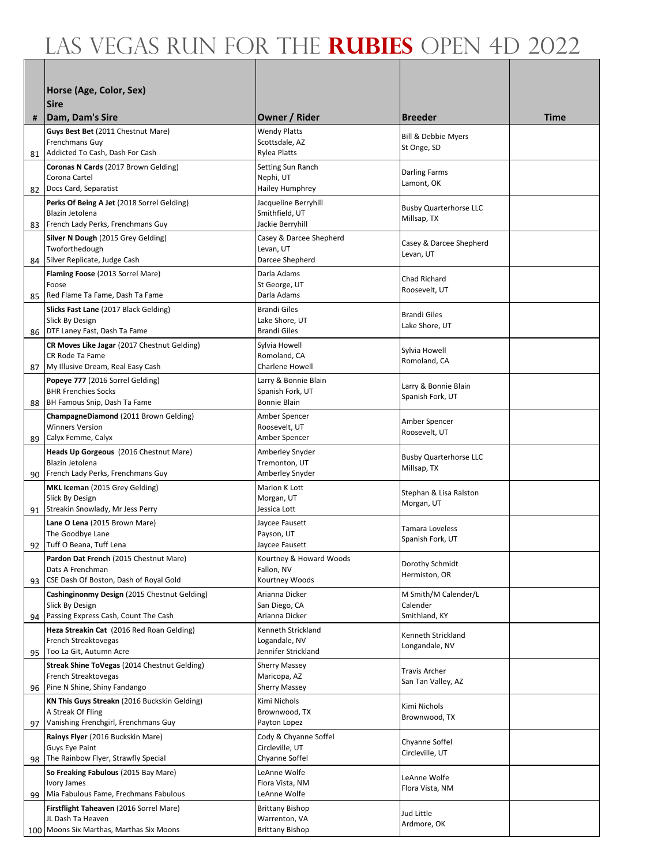|    | Horse (Age, Color, Sex)                                             |                                         |                                              |             |
|----|---------------------------------------------------------------------|-----------------------------------------|----------------------------------------------|-------------|
|    | <b>Sire</b>                                                         |                                         |                                              |             |
| #  | Dam, Dam's Sire                                                     | Owner / Rider                           | <b>Breeder</b>                               | <b>Time</b> |
|    | Guys Best Bet (2011 Chestnut Mare)                                  | <b>Wendy Platts</b>                     | <b>Bill &amp; Debbie Myers</b>               |             |
|    | Frenchmans Guy<br>81 Addicted To Cash, Dash For Cash                | Scottsdale, AZ<br><b>Rylea Platts</b>   | St Onge, SD                                  |             |
|    | Coronas N Cards (2017 Brown Gelding)                                | Setting Sun Ranch                       |                                              |             |
|    | Corona Cartel                                                       | Nephi, UT                               | Darling Farms<br>Lamont, OK                  |             |
|    | 82 Docs Card, Separatist                                            | Hailey Humphrey                         |                                              |             |
|    | Perks Of Being A Jet (2018 Sorrel Gelding)<br>Blazin Jetolena       | Jacqueline Berryhill<br>Smithfield, UT  | <b>Busby Quarterhorse LLC</b>                |             |
|    | 83 French Lady Perks, Frenchmans Guy                                | Jackie Berryhill                        | Millsap, TX                                  |             |
|    | Silver N Dough (2015 Grey Gelding)<br>Twoforthedough                | Casey & Darcee Shepherd<br>Levan, UT    | Casey & Darcee Shepherd                      |             |
| 84 | Silver Replicate, Judge Cash                                        | Darcee Shepherd                         | Levan, UT                                    |             |
|    | <b>Flaming Foose</b> (2013 Sorrel Mare)                             | Darla Adams                             | <b>Chad Richard</b>                          |             |
| 85 | Foose<br>Red Flame Ta Fame, Dash Ta Fame                            | St George, UT<br>Darla Adams            | Roosevelt, UT                                |             |
|    | Slicks Fast Lane (2017 Black Gelding)                               | <b>Brandi Giles</b>                     |                                              |             |
|    | Slick By Design                                                     | Lake Shore, UT                          | <b>Brandi Giles</b><br>Lake Shore, UT        |             |
| 86 | DTF Laney Fast, Dash Ta Fame                                        | <b>Brandi Giles</b>                     |                                              |             |
|    | CR Moves Like Jagar (2017 Chestnut Gelding)<br>CR Rode Ta Fame      | Sylvia Howell<br>Romoland, CA           | Sylvia Howell                                |             |
| 87 | My Illusive Dream, Real Easy Cash                                   | Charlene Howell                         | Romoland, CA                                 |             |
|    | Popeye 777 (2016 Sorrel Gelding)                                    | Larry & Bonnie Blain                    | Larry & Bonnie Blain                         |             |
| 88 | <b>BHR Frenchies Socks</b><br>BH Famous Snip, Dash Ta Fame          | Spanish Fork, UT<br>Bonnie Blain        | Spanish Fork, UT                             |             |
|    | ChampagneDiamond (2011 Brown Gelding)                               | Amber Spencer                           |                                              |             |
|    | <b>Winners Version</b>                                              | Roosevelt, UT                           | Amber Spencer<br>Roosevelt, UT               |             |
| 89 | Calyx Femme, Calyx<br>Heads Up Gorgeous (2016 Chestnut Mare)        | Amber Spencer<br>Amberley Snyder        |                                              |             |
|    | Blazin Jetolena                                                     | Tremonton, UT                           | <b>Busby Quarterhorse LLC</b><br>Millsap, TX |             |
| 90 | French Lady Perks, Frenchmans Guy                                   | Amberley Snyder                         |                                              |             |
|    | MKL Iceman (2015 Grey Gelding)<br>Slick By Design                   | Marion K Lott<br>Morgan, UT             | Stephan & Lisa Ralston                       |             |
|    | 91 Streakin Snowlady, Mr Jess Perry                                 | Jessica Lott                            | Morgan, UT                                   |             |
|    | Lane O Lena (2015 Brown Mare)                                       | Jaycee Fausett                          | Tamara Loveless                              |             |
| 92 | The Goodbye Lane<br>Tuff O Beana, Tuff Lena                         | Payson, UT<br>Jaycee Fausett            | Spanish Fork, UT                             |             |
|    | Pardon Dat French (2015 Chestnut Mare)                              | Kourtney & Howard Woods                 | Dorothy Schmidt                              |             |
|    | Dats A Frenchman<br>CSE Dash Of Boston, Dash of Royal Gold          | Fallon, NV<br>Kourtney Woods            | Hermiston, OR                                |             |
| 93 | Cashinginonmy Design (2015 Chestnut Gelding)                        | Arianna Dicker                          | M Smith/M Calender/L                         |             |
|    | Slick By Design                                                     | San Diego, CA                           | Calender                                     |             |
| 94 | Passing Express Cash, Count The Cash                                | Arianna Dicker                          | Smithland, KY                                |             |
|    | Heza Streakin Cat (2016 Red Roan Gelding)<br>French Streaktovegas   | Kenneth Strickland<br>Logandale, NV     | Kenneth Strickland                           |             |
| 95 | Too La Git, Autumn Acre                                             | Jennifer Strickland                     | Longandale, NV                               |             |
|    | Streak Shine ToVegas (2014 Chestnut Gelding)                        | <b>Sherry Massey</b>                    | Travis Archer                                |             |
| 96 | French Streaktovegas<br>Pine N Shine, Shiny Fandango                | Maricopa, AZ<br><b>Sherry Massey</b>    | San Tan Valley, AZ                           |             |
|    | KN This Guys Streakn (2016 Buckskin Gelding)                        | Kimi Nichols                            | Kimi Nichols                                 |             |
|    | A Streak Of Fling<br>Vanishing Frenchgirl, Frenchmans Guy           | Brownwood, TX                           | Brownwood, TX                                |             |
| 97 | Rainys Flyer (2016 Buckskin Mare)                                   | Payton Lopez<br>Cody & Chyanne Soffel   |                                              |             |
|    | Guys Eye Paint                                                      | Circleville, UT                         | Chyanne Soffel<br>Circleville, UT            |             |
| 98 | The Rainbow Flyer, Strawfly Special                                 | Chyanne Soffel                          |                                              |             |
|    | So Freaking Fabulous (2015 Bay Mare)<br>Ivory James                 | LeAnne Wolfe<br>Flora Vista, NM         | LeAnne Wolfe                                 |             |
| 99 | Mia Fabulous Fame, Frechmans Fabulous                               | LeAnne Wolfe                            | Flora Vista, NM                              |             |
|    | <b>Firstflight Taheaven (2016 Sorrel Mare)</b><br>JL Dash Ta Heaven | <b>Brittany Bishop</b>                  | Jud Little                                   |             |
|    | 100 Moons Six Marthas, Marthas Six Moons                            | Warrenton, VA<br><b>Brittany Bishop</b> | Ardmore, OK                                  |             |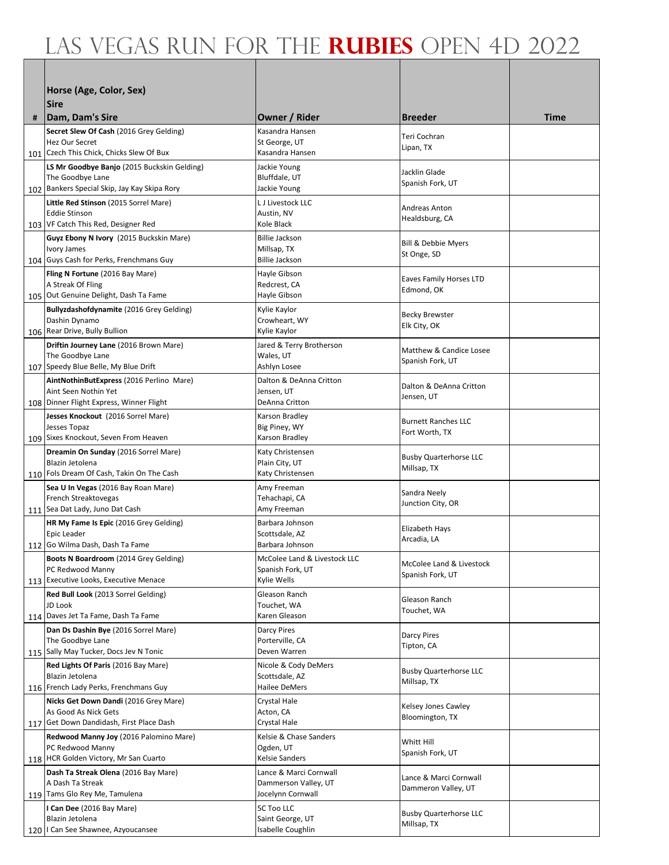|   | Horse (Age, Color, Sex)                                          |                                                |                                              |             |
|---|------------------------------------------------------------------|------------------------------------------------|----------------------------------------------|-------------|
|   | lSire                                                            |                                                |                                              |             |
| # | Dam, Dam's Sire                                                  | <b>Owner / Rider</b>                           | <b>Breeder</b>                               | <b>Time</b> |
|   | Secret Slew Of Cash (2016 Grey Gelding)                          | Kasandra Hansen                                | Teri Cochran                                 |             |
|   | Hez Our Secret<br>101 Czech This Chick, Chicks Slew Of Bux       | St George, UT<br>Kasandra Hansen               | Lipan, TX                                    |             |
|   | LS Mr Goodbye Banjo (2015 Buckskin Gelding)                      | Jackie Young                                   |                                              |             |
|   | The Goodbye Lane                                                 | Bluffdale, UT                                  | Jacklin Glade<br>Spanish Fork, UT            |             |
|   | 102 Bankers Special Skip, Jay Kay Skipa Rory                     | Jackie Young                                   |                                              |             |
|   | Little Red Stinson (2015 Sorrel Mare)<br><b>Eddie Stinson</b>    | L J Livestock LLC<br>Austin, NV                | Andreas Anton                                |             |
|   | 103 VF Catch This Red, Designer Red                              | Kole Black                                     | Healdsburg, CA                               |             |
|   | Guyz Ebony N Ivory (2015 Buckskin Mare)                          | <b>Billie Jackson</b>                          | <b>Bill &amp; Debbie Myers</b>               |             |
|   | Ivory James<br>104 Guys Cash for Perks, Frenchmans Guy           | Millsap, TX<br><b>Billie Jackson</b>           | St Onge, SD                                  |             |
|   | Fling N Fortune (2016 Bay Mare)                                  | Hayle Gibson                                   |                                              |             |
|   | A Streak Of Fling                                                | Redcrest, CA                                   | <b>Eaves Family Horses LTD</b><br>Edmond, OK |             |
|   | 105 Out Genuine Delight, Dash Ta Fame                            | Hayle Gibson                                   |                                              |             |
|   | Bullyzdashofdynamite (2016 Grey Gelding)<br>Dashin Dynamo        | Kylie Kaylor<br>Crowheart, WY                  | <b>Becky Brewster</b>                        |             |
|   | 106 Rear Drive, Bully Bullion                                    | Kylie Kaylor                                   | Elk City, OK                                 |             |
|   | Driftin Journey Lane (2016 Brown Mare)                           | Jared & Terry Brotherson                       | Matthew & Candice Losee                      |             |
|   | The Goodbye Lane<br>107 Speedy Blue Belle, My Blue Drift         | Wales, UT<br>Ashlyn Losee                      | Spanish Fork, UT                             |             |
|   | AintNothinButExpress (2016 Perlino Mare)                         | Dalton & DeAnna Critton                        |                                              |             |
|   | Aint Seen Nothin Yet                                             | Jensen, UT                                     | Dalton & DeAnna Critton<br>Jensen, UT        |             |
|   | 108 Dinner Flight Express, Winner Flight                         | DeAnna Critton                                 |                                              |             |
|   | Jesses Knockout (2016 Sorrel Mare)<br>Jesses Topaz               | Karson Bradley<br>Big Piney, WY                | <b>Burnett Ranches LLC</b>                   |             |
|   | 109 Sixes Knockout, Seven From Heaven                            | Karson Bradley                                 | Fort Worth, TX                               |             |
|   | Dreamin On Sunday (2016 Sorrel Mare)                             | Katy Christensen                               | <b>Busby Quarterhorse LLC</b>                |             |
|   | Blazin Jetolena<br>110 Fols Dream Of Cash, Takin On The Cash     | Plain City, UT<br>Katy Christensen             | Millsap, TX                                  |             |
|   | Sea U In Vegas (2016 Bay Roan Mare)                              | Amy Freeman                                    |                                              |             |
|   | French Streaktovegas                                             | Tehachapi, CA                                  | Sandra Neely<br>Junction City, OR            |             |
|   | 111 Sea Dat Lady, Juno Dat Cash                                  | Amy Freeman                                    |                                              |             |
|   | HR My Fame Is Epic (2016 Grey Gelding)<br>Epic Leader            | Barbara Johnson<br>Scottsdale, AZ              | Elizabeth Hays                               |             |
|   | 112 Go Wilma Dash, Dash Ta Fame                                  | Barbara Johnson                                | Arcadia, LA                                  |             |
|   | <b>Boots N Boardroom</b> (2014 Grey Gelding)                     | McColee Land & Livestock LLC                   | McColee Land & Livestock                     |             |
|   | PC Redwood Manny<br>113 Executive Looks, Executive Menace        | Spanish Fork, UT<br>Kylie Wells                | Spanish Fork, UT                             |             |
|   | Red Bull Look (2013 Sorrel Gelding)                              | Gleason Ranch                                  |                                              |             |
|   | JD Look                                                          | Touchet, WA                                    | Gleason Ranch<br>Touchet, WA                 |             |
|   | 114 Daves Jet Ta Fame, Dash Ta Fame                              | Karen Gleason                                  |                                              |             |
|   | Dan Ds Dashin Bye (2016 Sorrel Mare)<br>The Goodbye Lane         | <b>Darcy Pires</b><br>Porterville, CA          | Darcy Pires                                  |             |
|   | 115 Sally May Tucker, Docs Jev N Tonic                           | Deven Warren                                   | Tipton, CA                                   |             |
|   | Red Lights Of Paris (2016 Bay Mare)<br>Blazin Jetolena           | Nicole & Cody DeMers<br>Scottsdale, AZ         | <b>Busby Quarterhorse LLC</b>                |             |
|   | 116 French Lady Perks, Frenchmans Guy                            | Hailee DeMers                                  | Millsap, TX                                  |             |
|   | Nicks Get Down Dandi (2016 Grey Mare)                            | Crystal Hale                                   | Kelsey Jones Cawley                          |             |
|   | As Good As Nick Gets<br>117 Get Down Dandidash, First Place Dash | Acton, CA                                      | Bloomington, TX                              |             |
|   | Redwood Manny Joy (2016 Palomino Mare)                           | Crystal Hale<br>Kelsie & Chase Sanders         |                                              |             |
|   | PC Redwood Manny                                                 | Ogden, UT                                      | Whitt Hill<br>Spanish Fork, UT               |             |
|   | 118 HCR Golden Victory, Mr San Cuarto                            | Kelsie Sanders                                 |                                              |             |
|   | Dash Ta Streak Olena (2016 Bay Mare)<br>A Dash Ta Streak         | Lance & Marci Cornwall<br>Dammerson Valley, UT | Lance & Marci Cornwall                       |             |
|   | 119 Tams Glo Rey Me, Tamulena                                    | Jocelynn Cornwall                              | Dammeron Valley, UT                          |             |
|   | I Can Dee (2016 Bay Mare)                                        | 5C Too LLC                                     | <b>Busby Quarterhorse LLC</b>                |             |
|   | Blazin Jetolena<br>120   Can See Shawnee, Azyoucansee            | Saint George, UT<br>Isabelle Coughlin          | Millsap, TX                                  |             |
|   |                                                                  |                                                |                                              |             |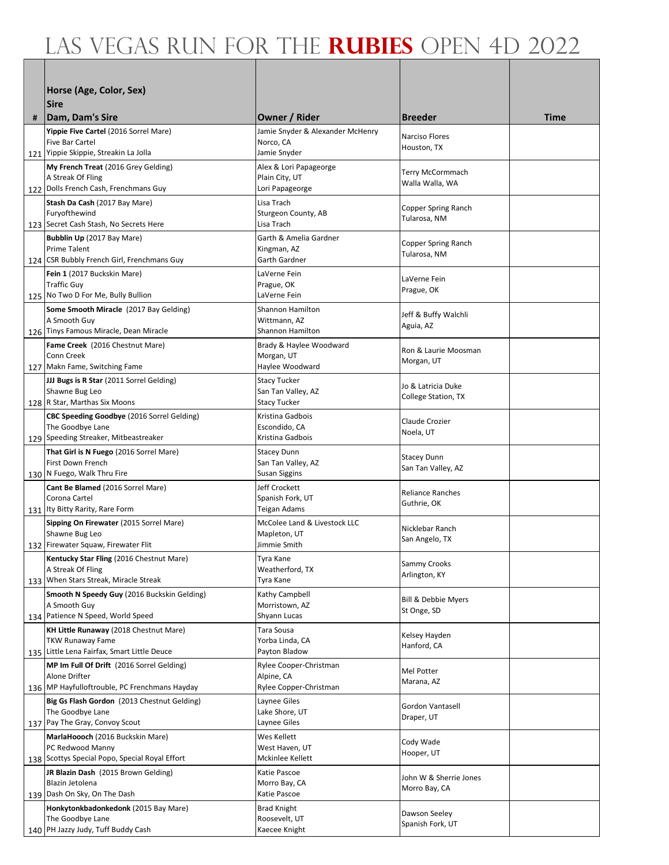|   | Horse (Age, Color, Sex)                                            |                                          |                                         |      |
|---|--------------------------------------------------------------------|------------------------------------------|-----------------------------------------|------|
|   | <b>Sire</b>                                                        |                                          |                                         |      |
| # | Dam, Dam's Sire                                                    | Owner / Rider                            | <b>Breeder</b>                          | Time |
|   | Yippie Five Cartel (2016 Sorrel Mare)                              | Jamie Snyder & Alexander McHenry         | Narciso Flores                          |      |
|   | Five Bar Cartel<br>121 Yippie Skippie, Streakin La Jolla           | Norco, CA<br>Jamie Snyder                | Houston, TX                             |      |
|   | My French Treat (2016 Grey Gelding)                                | Alex & Lori Papageorge                   |                                         |      |
|   | A Streak Of Fling                                                  | Plain City, UT                           | Terry McCormmach<br>Walla Walla, WA     |      |
|   | 122 Dolls French Cash, Frenchmans Guy                              | Lori Papageorge                          |                                         |      |
|   | Stash Da Cash (2017 Bay Mare)<br>Furyofthewind                     | Lisa Trach<br>Sturgeon County, AB        | Copper Spring Ranch                     |      |
|   | 123 Secret Cash Stash, No Secrets Here                             | Lisa Trach                               | Tularosa, NM                            |      |
|   | Bubblin Up (2017 Bay Mare)                                         | Garth & Amelia Gardner                   | Copper Spring Ranch                     |      |
|   | <b>Prime Talent</b><br>124 CSR Bubbly French Girl, Frenchmans Guy  | Kingman, AZ<br>Garth Gardner             | Tularosa, NM                            |      |
|   | Fein 1 (2017 Buckskin Mare)                                        | LaVerne Fein                             | LaVerne Fein                            |      |
|   | <b>Traffic Guy</b>                                                 | Prague, OK                               | Prague, OK                              |      |
|   | 125 No Two D For Me, Bully Bullion                                 | LaVerne Fein<br>Shannon Hamilton         |                                         |      |
|   | Some Smooth Miracle (2017 Bay Gelding)<br>A Smooth Guy             | Wittmann, AZ                             | Jeff & Buffy Walchli                    |      |
|   | 126 Tinys Famous Miracle, Dean Miracle                             | <b>Shannon Hamilton</b>                  | Aguia, AZ                               |      |
|   | Fame Creek (2016 Chestnut Mare)<br>Conn Creek                      | Brady & Haylee Woodward<br>Morgan, UT    | Ron & Laurie Moosman                    |      |
|   | 127 Makn Fame, Switching Fame                                      | Haylee Woodward                          | Morgan, UT                              |      |
|   | JJJ Bugs is R Star (2011 Sorrel Gelding)                           | <b>Stacy Tucker</b>                      | Jo & Latricia Duke                      |      |
|   | Shawne Bug Leo<br>128 R Star, Marthas Six Moons                    | San Tan Valley, AZ                       | College Station, TX                     |      |
|   | CBC Speeding Goodbye (2016 Sorrel Gelding)                         | <b>Stacy Tucker</b><br>Kristina Gadbois  |                                         |      |
|   | The Goodbye Lane                                                   | Escondido, CA                            | Claude Crozier<br>Noela, UT             |      |
|   | 129 Speeding Streaker, Mitbeastreaker                              | Kristina Gadbois                         |                                         |      |
|   | That Girl is N Fuego (2016 Sorrel Mare)<br>First Down French       | <b>Stacey Dunn</b><br>San Tan Valley, AZ | <b>Stacey Dunn</b>                      |      |
|   | 130 N Fuego, Walk Thru Fire                                        | Susan Siggins                            | San Tan Valley, AZ                      |      |
|   | Cant Be Blamed (2016 Sorrel Mare)                                  | Jeff Crockett                            | <b>Reliance Ranches</b>                 |      |
|   | Corona Cartel<br>131 Ity Bitty Rarity, Rare Form                   | Spanish Fork, UT<br><b>Teigan Adams</b>  | Guthrie, OK                             |      |
|   | Sipping On Firewater (2015 Sorrel Mare)                            | McColee Land & Livestock LLC             |                                         |      |
|   | Shawne Bug Leo                                                     | Mapleton, UT                             | Nicklebar Ranch<br>San Angelo, TX       |      |
|   | 132 Firewater Squaw, Firewater Flit                                | Jimmie Smith                             |                                         |      |
|   | Kentucky Star Fling (2016 Chestnut Mare)<br>A Streak Of Fling      | Tyra Kane<br>Weatherford, TX             | Sammy Crooks                            |      |
|   | 133 When Stars Streak, Miracle Streak                              | Tyra Kane                                | Arlington, KY                           |      |
|   | Smooth N Speedy Guy (2016 Buckskin Gelding)<br>A Smooth Guy        | Kathy Campbell                           | <b>Bill &amp; Debbie Myers</b>          |      |
|   | 134 Patience N Speed, World Speed                                  | Morristown, AZ<br>Shyann Lucas           | St Onge, SD                             |      |
|   | KH Little Runaway (2018 Chestnut Mare)                             | Tara Sousa                               | Kelsey Hayden                           |      |
|   | TKW Runaway Fame<br>135 Little Lena Fairfax, Smart Little Deuce    | Yorba Linda, CA<br>Payton Bladow         | Hanford, CA                             |      |
|   | MP Im Full Of Drift (2016 Sorrel Gelding)                          | Rylee Cooper-Christman                   |                                         |      |
|   | Alone Drifter                                                      | Alpine, CA                               | Mel Potter<br>Marana, AZ                |      |
|   | 136 MP Hayfulloftrouble, PC Frenchmans Hayday                      | Rylee Copper-Christman                   |                                         |      |
|   | Big Gs Flash Gordon (2013 Chestnut Gelding)<br>The Goodbye Lane    | Laynee Giles<br>Lake Shore, UT           | Gordon Vantasell                        |      |
|   | 137 Pay The Gray, Convoy Scout                                     | Laynee Giles                             | Draper, UT                              |      |
|   | MarlaHoooch (2016 Buckskin Mare)                                   | Wes Kellett                              | Cody Wade                               |      |
|   | PC Redwood Manny<br>138 Scottys Special Popo, Special Royal Effort | West Haven, UT<br>Mckinlee Kellett       | Hooper, UT                              |      |
|   | JR Blazin Dash (2015 Brown Gelding)                                | Katie Pascoe                             |                                         |      |
|   | Blazin Jetolena                                                    | Morro Bay, CA                            | John W & Sherrie Jones<br>Morro Bay, CA |      |
|   | 139 Dash On Sky, On The Dash                                       | Katie Pascoe                             |                                         |      |
|   | Honkytonkbadonkedonk (2015 Bay Mare)<br>The Goodbye Lane           | Brad Knight<br>Roosevelt, UT             | Dawson Seeley                           |      |
|   | 140 PH Jazzy Judy, Tuff Buddy Cash                                 | Kaecee Knight                            | Spanish Fork, UT                        |      |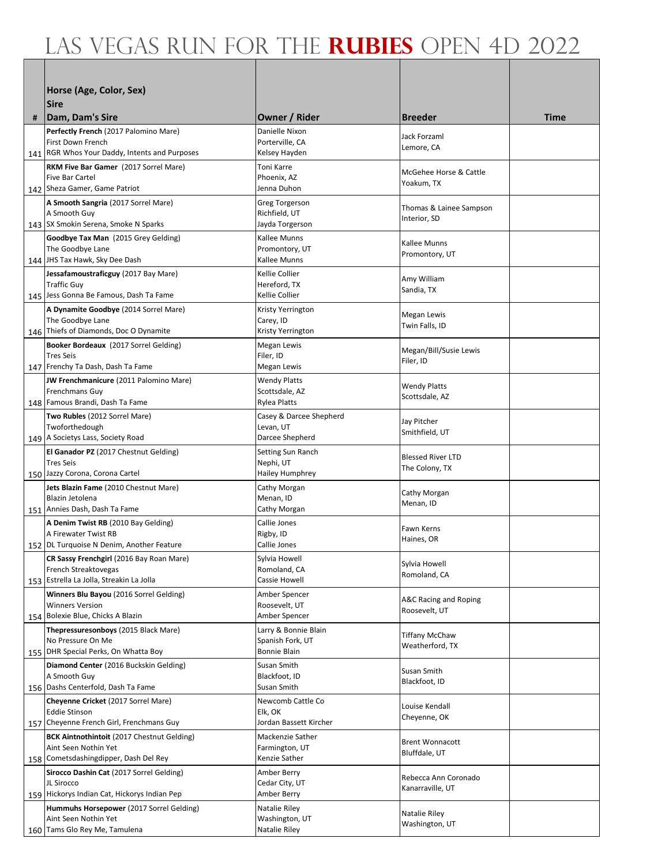|   | Horse (Age, Color, Sex)                                                     |                                          |                                        |      |
|---|-----------------------------------------------------------------------------|------------------------------------------|----------------------------------------|------|
|   | <b>Sire</b>                                                                 |                                          |                                        |      |
| # | Dam, Dam's Sire                                                             | Owner / Rider                            | <b>Breeder</b>                         | Time |
|   | Perfectly French (2017 Palomino Mare)                                       | Danielle Nixon                           | Jack Forzaml                           |      |
|   | First Down French<br>141 RGR Whos Your Daddy, Intents and Purposes          | Porterville, CA<br>Kelsey Hayden         | Lemore, CA                             |      |
|   | RKM Five Bar Gamer (2017 Sorrel Mare)                                       | <b>Toni Karre</b>                        |                                        |      |
|   | <b>Five Bar Cartel</b>                                                      | Phoenix, AZ                              | McGehee Horse & Cattle<br>Yoakum, TX   |      |
|   | 142   Sheza Gamer, Game Patriot                                             | Jenna Duhon                              |                                        |      |
|   | A Smooth Sangria (2017 Sorrel Mare)<br>A Smooth Guy                         | Greg Torgerson<br>Richfield, UT          | Thomas & Lainee Sampson                |      |
|   | 143 SX Smokin Serena, Smoke N Sparks                                        | Jayda Torgerson                          | Interior, SD                           |      |
|   | Goodbye Tax Man (2015 Grey Gelding)                                         | Kallee Munns                             | Kallee Munns                           |      |
|   | The Goodbye Lane                                                            | Promontory, UT                           | Promontory, UT                         |      |
|   | 144 JHS Tax Hawk, Sky Dee Dash<br>Jessafamoustraficguy (2017 Bay Mare)      | Kallee Munns<br>Kellie Collier           |                                        |      |
|   | <b>Traffic Guy</b>                                                          | Hereford, TX                             | Amy William<br>Sandia, TX              |      |
|   | 145 Jess Gonna Be Famous, Dash Ta Fame                                      | Kellie Collier                           |                                        |      |
|   | A Dynamite Goodbye (2014 Sorrel Mare)                                       | Kristy Yerrington                        | Megan Lewis                            |      |
|   | The Goodbye Lane<br>146 Thiefs of Diamonds, Doc O Dynamite                  | Carey, ID<br>Kristy Yerrington           | Twin Falls, ID                         |      |
|   | Booker Bordeaux (2017 Sorrel Gelding)                                       | Megan Lewis                              | Megan/Bill/Susie Lewis                 |      |
|   | <b>Tres Seis</b>                                                            | Filer, ID                                | Filer, ID                              |      |
|   | 147 Frenchy Ta Dash, Dash Ta Fame<br>JW Frenchmanicure (2011 Palomino Mare) | Megan Lewis<br><b>Wendy Platts</b>       |                                        |      |
|   | Frenchmans Guy                                                              | Scottsdale, AZ                           | <b>Wendy Platts</b>                    |      |
|   | 148 Famous Brandi, Dash Ta Fame                                             | Rylea Platts                             | Scottsdale, AZ                         |      |
|   | Two Rubles (2012 Sorrel Mare)                                               | Casey & Darcee Shepherd                  | Jay Pitcher                            |      |
|   | Twoforthedough<br>149   A Societys Lass, Society Road                       | Levan, UT<br>Darcee Shepherd             | Smithfield, UT                         |      |
|   | El Ganador PZ (2017 Chestnut Gelding)                                       | Setting Sun Ranch                        | <b>Blessed River LTD</b>               |      |
|   | <b>Tres Seis</b>                                                            | Nephi, UT                                | The Colony, TX                         |      |
|   | 150 Jazzy Corona, Corona Cartel<br>Jets Blazin Fame (2010 Chestnut Mare)    | Hailey Humphrey<br>Cathy Morgan          |                                        |      |
|   | Blazin Jetolena                                                             | Menan, ID                                | Cathy Morgan                           |      |
|   | 151 Annies Dash, Dash Ta Fame                                               | Cathy Morgan                             | Menan, ID                              |      |
|   | A Denim Twist RB (2010 Bay Gelding)<br>A Firewater Twist RB                 | Callie Jones<br>Rigby, ID                | Fawn Kerns                             |      |
|   | 152 DL Turquoise N Denim, Another Feature                                   | Callie Jones                             | Haines, OR                             |      |
|   | CR Sassy Frenchgirl (2016 Bay Roan Mare)                                    | Sylvia Howell                            | Sylvia Howell                          |      |
|   | French Streaktovegas<br>153 Estrella La Jolla, Streakin La Jolla            | Romoland, CA<br>Cassie Howell            | Romoland, CA                           |      |
|   | Winners Blu Bayou (2016 Sorrel Gelding)                                     | Amber Spencer                            |                                        |      |
|   | <b>Winners Version</b>                                                      | Roosevelt, UT                            | A&C Racing and Roping<br>Roosevelt, UT |      |
|   | 154 Bolexie Blue, Chicks A Blazin                                           | Amber Spencer                            |                                        |      |
|   | Thepressuresonboys (2015 Black Mare)<br>No Pressure On Me                   | Larry & Bonnie Blain<br>Spanish Fork, UT | <b>Tiffany McChaw</b>                  |      |
|   | 155 DHR Special Perks, On Whatta Boy                                        | Bonnie Blain                             | Weatherford, TX                        |      |
|   | Diamond Center (2016 Buckskin Gelding)                                      | Susan Smith                              | Susan Smith                            |      |
|   | A Smooth Guy<br>156 Dashs Centerfold, Dash Ta Fame                          | Blackfoot, ID<br>Susan Smith             | Blackfoot, ID                          |      |
|   | Cheyenne Cricket (2017 Sorrel Mare)                                         | Newcomb Cattle Co                        |                                        |      |
|   | <b>Eddie Stinson</b>                                                        | Elk, OK                                  | Louise Kendall<br>Cheyenne, OK         |      |
|   | 157 Cheyenne French Girl, Frenchmans Guy                                    | Jordan Bassett Kircher                   |                                        |      |
|   | <b>BCK Aintnothintoit (2017 Chestnut Gelding)</b><br>Aint Seen Nothin Yet   | Mackenzie Sather<br>Farmington, UT       | <b>Brent Wonnacott</b>                 |      |
|   | 158 Cometsdashingdipper, Dash Del Rey                                       | Kenzie Sather                            | Bluffdale, UT                          |      |
|   | Sirocco Dashin Cat (2017 Sorrel Gelding)                                    | Amber Berry                              | Rebecca Ann Coronado                   |      |
|   | JL Sirocco<br>159 Hickorys Indian Cat, Hickorys Indian Pep                  | Cedar City, UT<br>Amber Berry            | Kanarraville, UT                       |      |
|   | Hummuhs Horsepower (2017 Sorrel Gelding)                                    | Natalie Riley                            | Natalie Riley                          |      |
|   | Aint Seen Nothin Yet                                                        | Washington, UT                           | Washington, UT                         |      |
|   | 160 Tams Glo Rey Me, Tamulena                                               | Natalie Riley                            |                                        |      |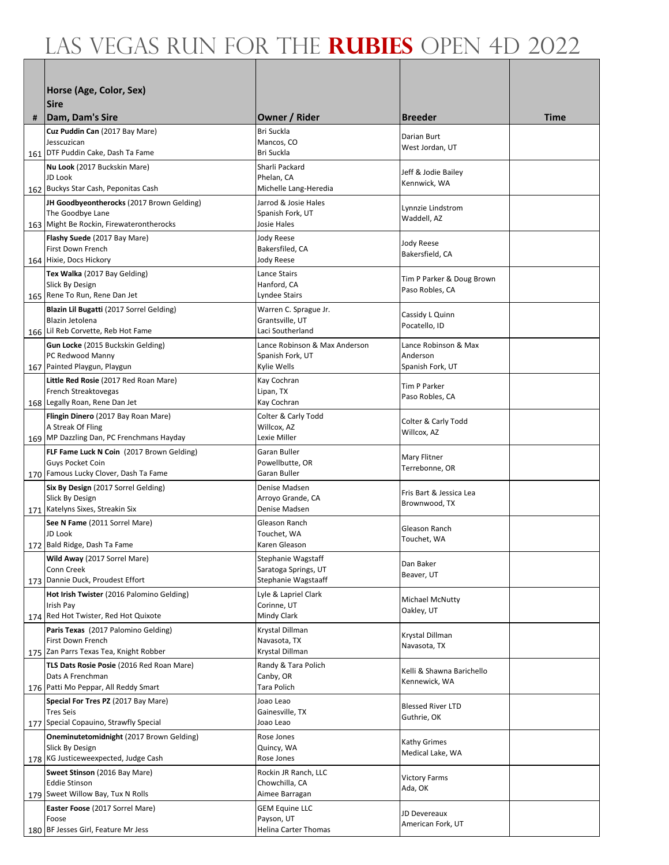|   | Horse (Age, Color, Sex)                                        |                                                   |                                     |             |
|---|----------------------------------------------------------------|---------------------------------------------------|-------------------------------------|-------------|
|   | lSire                                                          |                                                   |                                     |             |
| # | Dam, Dam's Sire                                                | Owner / Rider                                     | <b>Breeder</b>                      | <b>Time</b> |
|   | Cuz Puddin Can (2017 Bay Mare)                                 | Bri Suckla                                        | Darian Burt                         |             |
|   | Jesscuzican<br>161 DTF Puddin Cake, Dash Ta Fame               | Mancos, CO<br>Bri Suckla                          | West Jordan, UT                     |             |
|   | Nu Look (2017 Buckskin Mare)                                   | Sharli Packard                                    |                                     |             |
|   | JD Look                                                        | Phelan, CA                                        | Jeff & Jodie Bailey<br>Kennwick, WA |             |
|   | 162 Buckys Star Cash, Peponitas Cash                           | Michelle Lang-Heredia                             |                                     |             |
|   | JH Goodbyeontherocks (2017 Brown Gelding)<br>The Goodbye Lane  | Jarrod & Josie Hales<br>Spanish Fork, UT          | Lynnzie Lindstrom                   |             |
|   | 163 Might Be Rockin, Firewaterontherocks                       | Josie Hales                                       | Waddell, AZ                         |             |
|   | Flashy Suede (2017 Bay Mare)<br>First Down French              | <b>Jody Reese</b><br>Bakersfiled, CA              | Jody Reese                          |             |
|   | 164 Hixie, Docs Hickory                                        | <b>Jody Reese</b>                                 | Bakersfield, CA                     |             |
|   | Tex Walka (2017 Bay Gelding)                                   | Lance Stairs                                      | Tim P Parker & Doug Brown           |             |
|   | Slick By Design<br>165 Rene To Run, Rene Dan Jet               | Hanford, CA<br>Lyndee Stairs                      | Paso Robles, CA                     |             |
|   | Blazin Lil Bugatti (2017 Sorrel Gelding)                       | Warren C. Sprague Jr.                             |                                     |             |
|   | Blazin Jetolena                                                | Grantsville, UT                                   | Cassidy L Quinn<br>Pocatello, ID    |             |
|   | 166 Lil Reb Corvette, Reb Hot Fame                             | Laci Southerland                                  |                                     |             |
|   | Gun Locke (2015 Buckskin Gelding)<br>PC Redwood Manny          | Lance Robinson & Max Anderson<br>Spanish Fork, UT | Lance Robinson & Max<br>Anderson    |             |
|   | 167 Painted Playgun, Playgun                                   | Kylie Wells                                       | Spanish Fork, UT                    |             |
|   | Little Red Rosie (2017 Red Roan Mare)                          | Kay Cochran                                       | Tim P Parker                        |             |
|   | French Streaktovegas<br>168   Legally Roan, Rene Dan Jet       | Lipan, TX<br>Kay Cochran                          | Paso Robles, CA                     |             |
|   | Flingin Dinero (2017 Bay Roan Mare)                            | Colter & Carly Todd                               | Colter & Carly Todd                 |             |
|   | A Streak Of Fling<br>169 MP Dazzling Dan, PC Frenchmans Hayday | Willcox, AZ<br>Lexie Miller                       | Willcox, AZ                         |             |
|   | FLF Fame Luck N Coin (2017 Brown Gelding)                      | Garan Buller                                      |                                     |             |
|   | <b>Guys Pocket Coin</b>                                        | Powellbutte, OR                                   | Mary Flitner<br>Terrebonne, OR      |             |
|   | 170   Famous Lucky Clover, Dash Ta Fame                        | Garan Buller                                      |                                     |             |
|   | Six By Design (2017 Sorrel Gelding)<br>Slick By Design         | Denise Madsen<br>Arroyo Grande, CA                | Fris Bart & Jessica Lea             |             |
|   | 171 Katelyns Sixes, Streakin Six                               | Denise Madsen                                     | Brownwood, TX                       |             |
|   | See N Fame (2011 Sorrel Mare)                                  | Gleason Ranch                                     | Gleason Ranch                       |             |
|   | JD Look<br>172 Bald Ridge, Dash Ta Fame                        | Touchet, WA<br>Karen Gleason                      | Touchet, WA                         |             |
|   | Wild Away (2017 Sorrel Mare)                                   | Stephanie Wagstaff                                | Dan Baker                           |             |
|   | Conn Creek<br>173 Dannie Duck, Proudest Effort                 | Saratoga Springs, UT<br>Stephanie Wagstaaff       | Beaver, UT                          |             |
|   | Hot Irish Twister (2016 Palomino Gelding)                      | Lyle & Lapriel Clark                              |                                     |             |
|   | Irish Pay                                                      | Corinne, UT                                       | Michael McNutty<br>Oakley, UT       |             |
|   | 174 Red Hot Twister, Red Hot Quixote                           | Mindy Clark                                       |                                     |             |
|   | Paris Texas (2017 Palomino Gelding)<br>First Down French       | Krystal Dillman<br>Navasota, TX                   | Krystal Dillman                     |             |
|   | 175 Zan Parrs Texas Tea, Knight Robber                         | Krystal Dillman                                   | Navasota, TX                        |             |
|   | TLS Dats Rosie Posie (2016 Red Roan Mare)<br>Dats A Frenchman  | Randy & Tara Polich<br>Canby, OR                  | Kelli & Shawna Barichello           |             |
|   | 176   Patti Mo Peppar, All Reddy Smart                         | Tara Polich                                       | Kennewick, WA                       |             |
|   | Special For Tres PZ (2017 Bay Mare)                            | Joao Leao                                         | <b>Blessed River LTD</b>            |             |
|   | Tres Seis<br>177 Special Copauino, Strawfly Special            | Gainesville, TX<br>Joao Leao                      | Guthrie, OK                         |             |
|   | Oneminutetomidnight (2017 Brown Gelding)                       | Rose Jones                                        |                                     |             |
|   | Slick By Design                                                | Quincy, WA                                        | Kathy Grimes<br>Medical Lake, WA    |             |
|   | 178 KG Justiceweexpected, Judge Cash                           | Rose Jones                                        |                                     |             |
|   | Sweet Stinson (2016 Bay Mare)<br><b>Eddie Stinson</b>          | Rockin JR Ranch, LLC<br>Chowchilla, CA            | <b>Victory Farms</b>                |             |
|   | 179 Sweet Willow Bay, Tux N Rolls                              | Aimee Barragan                                    | Ada, OK                             |             |
|   | Easter Foose (2017 Sorrel Mare)<br>Foose                       | <b>GEM Equine LLC</b><br>Payson, UT               | JD Devereaux                        |             |
|   | 180 BF Jesses Girl, Feature Mr Jess                            | Helina Carter Thomas                              | American Fork, UT                   |             |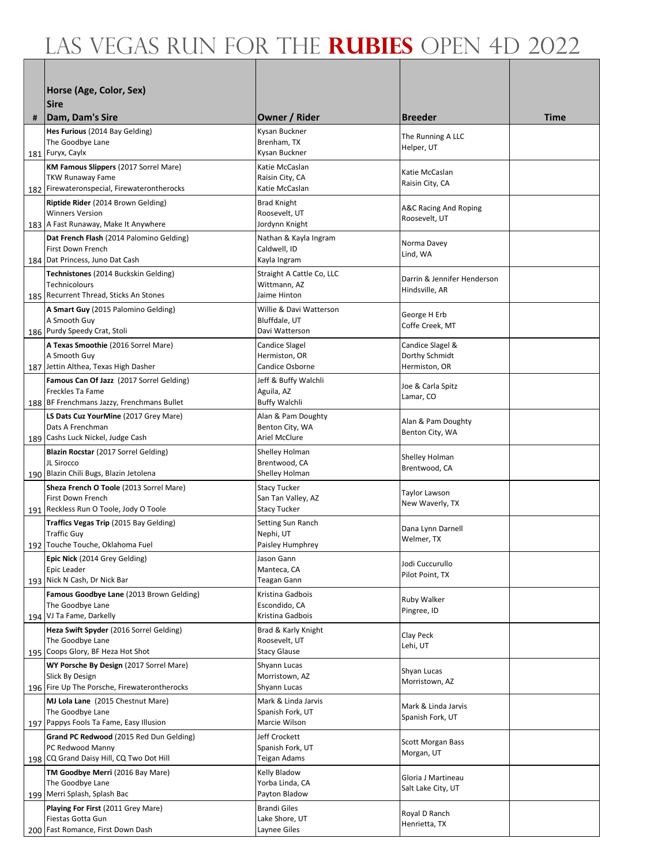|     | Horse (Age, Color, Sex)                                                            |                                           |                                         |      |
|-----|------------------------------------------------------------------------------------|-------------------------------------------|-----------------------------------------|------|
|     | <b>Sire</b>                                                                        |                                           |                                         |      |
| #   | Dam, Dam's Sire                                                                    | Owner / Rider                             | <b>Breeder</b>                          | Time |
|     | Hes Furious (2014 Bay Gelding)                                                     | Kysan Buckner                             | The Running A LLC                       |      |
|     | The Goodbye Lane<br>181 Furyx, Caylx                                               | Brenham, TX<br>Kysan Buckner              | Helper, UT                              |      |
|     | KM Famous Slippers (2017 Sorrel Mare)                                              | Katie McCaslan                            |                                         |      |
|     | <b>TKW Runaway Fame</b>                                                            | Raisin City, CA                           | Katie McCaslan<br>Raisin City, CA       |      |
|     | 182 Firewateronspecial, Firewaterontherocks                                        | Katie McCaslan                            |                                         |      |
|     | Riptide Rider (2014 Brown Gelding)<br><b>Winners Version</b>                       | <b>Brad Knight</b><br>Roosevelt, UT       | A&C Racing And Roping                   |      |
|     | 183   A Fast Runaway, Make It Anywhere                                             | Jordynn Knight                            | Roosevelt, UT                           |      |
|     | Dat French Flash (2014 Palomino Gelding)<br>First Down French                      | Nathan & Kayla Ingram                     | Norma Davey                             |      |
|     | 184   Dat Princess, Juno Dat Cash                                                  | Caldwell, ID<br>Kayla Ingram              | Lind, WA                                |      |
|     | Technistones (2014 Buckskin Gelding)                                               | Straight A Cattle Co, LLC                 | Darrin & Jennifer Henderson             |      |
|     | Technicolours                                                                      | Wittmann, AZ<br>Jaime Hinton              | Hindsville, AR                          |      |
|     | 185 Recurrent Thread, Sticks An Stones<br>A Smart Guy (2015 Palomino Gelding)      | Willie & Davi Watterson                   |                                         |      |
|     | A Smooth Guy                                                                       | Bluffdale, UT                             | George H Erb<br>Coffe Creek, MT         |      |
|     | 186 Purdy Speedy Crat, Stoli                                                       | Davi Watterson                            |                                         |      |
|     | A Texas Smoothie (2016 Sorrel Mare)<br>A Smooth Guy                                | Candice Slagel<br>Hermiston, OR           | Candice Slagel &<br>Dorthy Schmidt      |      |
|     | 187 Jettin Althea, Texas High Dasher                                               | Candice Osborne                           | Hermiston, OR                           |      |
|     | Famous Can Of Jazz (2017 Sorrel Gelding)                                           | Jeff & Buffy Walchli                      | Joe & Carla Spitz                       |      |
|     | Freckles Ta Fame<br>188 BF Frenchmans Jazzy, Frenchmans Bullet                     | Aguila, AZ<br><b>Buffy Walchli</b>        | Lamar, CO                               |      |
|     | LS Dats Cuz YourMine (2017 Grey Mare)                                              | Alan & Pam Doughty                        |                                         |      |
|     | Dats A Frenchman                                                                   | Benton City, WA                           | Alan & Pam Doughty<br>Benton City, WA   |      |
| 189 | Cashs Luck Nickel, Judge Cash<br>Blazin Rocstar (2017 Sorrel Gelding)              | Ariel McClure<br>Shelley Holman           |                                         |      |
|     | JL Sirocco                                                                         | Brentwood, CA                             | Shelley Holman<br>Brentwood, CA         |      |
|     | 190 Blazin Chili Bugs, Blazin Jetolena                                             | Shelley Holman                            |                                         |      |
|     | Sheza French O Toole (2013 Sorrel Mare)<br>First Down French                       | <b>Stacy Tucker</b><br>San Tan Valley, AZ | Taylor Lawson                           |      |
|     | 191   Reckless Run O Toole, Jody O Toole                                           | Stacy Tucker                              | New Waverly, TX                         |      |
|     | <b>Traffics Vegas Trip</b> (2015 Bay Gelding)                                      | Setting Sun Ranch                         | Dana Lynn Darnell                       |      |
|     | <b>Traffic Guy</b><br>192 Touche Touche, Oklahoma Fuel                             | Nephi, UT<br>Paisley Humphrey             | Welmer, TX                              |      |
|     | Epic Nick (2014 Grey Gelding)                                                      | Jason Gann                                |                                         |      |
|     | Epic Leader                                                                        | Manteca, CA                               | Jodi Cuccurullo<br>Pilot Point, TX      |      |
|     | 193 Nick N Cash, Dr Nick Bar<br>Famous Goodbye Lane (2013 Brown Gelding)           | Teagan Gann<br>Kristina Gadbois           |                                         |      |
|     | The Goodbye Lane                                                                   | Escondido, CA                             | Ruby Walker<br>Pingree, ID              |      |
|     | 194 VJ Ta Fame, Darkelly                                                           | Kristina Gadbois                          |                                         |      |
|     | Heza Swift Spyder (2016 Sorrel Gelding)<br>The Goodbye Lane                        | Brad & Karly Knight<br>Roosevelt, UT      | Clay Peck                               |      |
|     | 195 Coops Glory, BF Heza Hot Shot                                                  | <b>Stacy Glause</b>                       | Lehi, UT                                |      |
|     | WY Porsche By Design (2017 Sorrel Mare)                                            | Shyann Lucas                              | Shyan Lucas                             |      |
|     | Slick By Design<br>196 Fire Up The Porsche, Firewaterontherocks                    | Morristown, AZ<br>Shyann Lucas            | Morristown, AZ                          |      |
|     | MJ Lola Lane (2015 Chestnut Mare)                                                  | Mark & Linda Jarvis                       |                                         |      |
|     | The Goodbye Lane                                                                   | Spanish Fork, UT                          | Mark & Linda Jarvis<br>Spanish Fork, UT |      |
|     | 197 Pappys Fools Ta Fame, Easy Illusion<br>Grand PC Redwood (2015 Red Dun Gelding) | Marcie Wilson<br>Jeff Crockett            |                                         |      |
|     | PC Redwood Manny                                                                   | Spanish Fork, UT                          | <b>Scott Morgan Bass</b>                |      |
|     | 198 CQ Grand Daisy Hill, CQ Two Dot Hill                                           | <b>Teigan Adams</b>                       | Morgan, UT                              |      |
|     | TM Goodbye Merri (2016 Bay Mare)<br>The Goodbye Lane                               | Kelly Bladow<br>Yorba Linda, CA           | Gloria J Martineau                      |      |
|     | 199 Merri Splash, Splash Bac                                                       | Payton Bladow                             | Salt Lake City, UT                      |      |
|     | <b>Playing For First (2011 Grey Mare)</b>                                          | <b>Brandi Giles</b>                       | Royal D Ranch                           |      |
|     | Fiestas Gotta Gun<br>200 Fast Romance, First Down Dash                             | Lake Shore, UT<br>Laynee Giles            | Henrietta, TX                           |      |
|     |                                                                                    |                                           |                                         |      |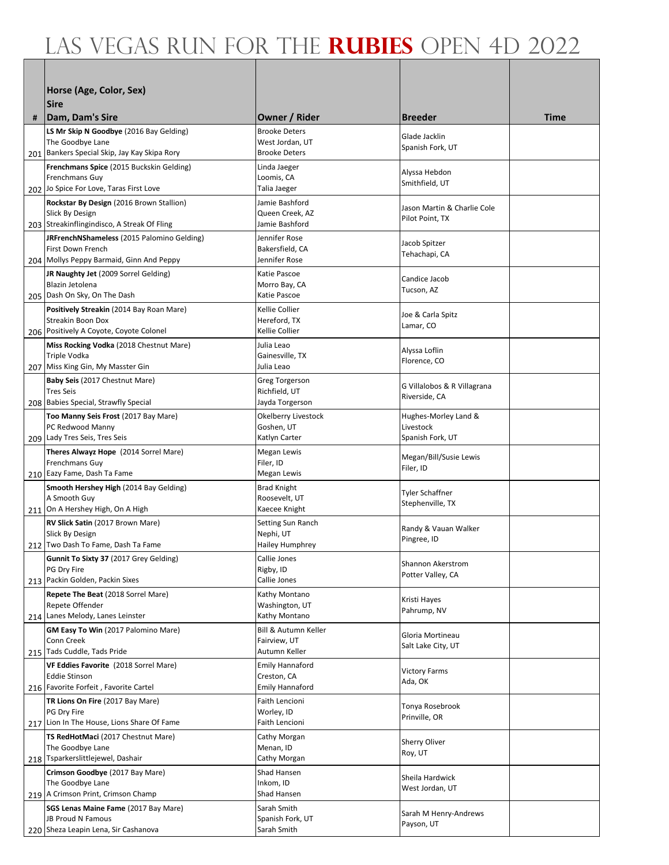|   | Horse (Age, Color, Sex)                                                          |                                         |                                            |      |
|---|----------------------------------------------------------------------------------|-----------------------------------------|--------------------------------------------|------|
|   | <b>Sire</b>                                                                      |                                         |                                            |      |
| # | Dam, Dam's Sire                                                                  | Owner / Rider                           | <b>Breeder</b>                             | Time |
|   | LS Mr Skip N Goodbye (2016 Bay Gelding)                                          | <b>Brooke Deters</b>                    | Glade Jacklin                              |      |
|   | The Goodbye Lane<br>201 Bankers Special Skip, Jay Kay Skipa Rory                 | West Jordan, UT<br><b>Brooke Deters</b> | Spanish Fork, UT                           |      |
|   | Frenchmans Spice (2015 Buckskin Gelding)                                         | Linda Jaeger                            |                                            |      |
|   | Frenchmans Guy                                                                   | Loomis, CA                              | Alyssa Hebdon<br>Smithfield, UT            |      |
|   | 202 Jo Spice For Love, Taras First Love                                          | Talia Jaeger                            |                                            |      |
|   | Rockstar By Design (2016 Brown Stallion)<br>Slick By Design                      | Jamie Bashford<br>Queen Creek, AZ       | Jason Martin & Charlie Cole                |      |
|   | 203 Streakinflingindisco, A Streak Of Fling                                      | Jamie Bashford                          | Pilot Point, TX                            |      |
|   | <b>JRFrenchNShameless</b> (2015 Palomino Gelding)                                | Jennifer Rose                           | Jacob Spitzer                              |      |
|   | First Down French                                                                | Bakersfield, CA<br>Jennifer Rose        | Tehachapi, CA                              |      |
|   | 204 Mollys Peppy Barmaid, Ginn And Peppy<br>JR Naughty Jet (2009 Sorrel Gelding) | Katie Pascoe                            |                                            |      |
|   | Blazin Jetolena                                                                  | Morro Bay, CA                           | Candice Jacob<br>Tucson, AZ                |      |
|   | 205 Dash On Sky, On The Dash                                                     | Katie Pascoe                            |                                            |      |
|   | Positively Streakin (2014 Bay Roan Mare)<br>Streakin Boon Dox                    | Kellie Collier<br>Hereford, TX          | Joe & Carla Spitz                          |      |
|   | 206 Positively A Coyote, Coyote Colonel                                          | Kellie Collier                          | Lamar, CO                                  |      |
|   | Miss Rocking Vodka (2018 Chestnut Mare)                                          | Julia Leao                              | Alyssa Loflin                              |      |
|   | Triple Vodka                                                                     | Gainesville, TX                         | Florence, CO                               |      |
|   | 207 Miss King Gin, My Masster Gin<br>Baby Seis (2017 Chestnut Mare)              | Julia Leao<br>Greg Torgerson            |                                            |      |
|   | <b>Tres Seis</b>                                                                 | Richfield, UT                           | G Villalobos & R Villagrana                |      |
|   | 208 Babies Special, Strawfly Special                                             | Jayda Torgerson                         | Riverside, CA                              |      |
|   | Too Manny Seis Frost (2017 Bay Mare)<br>PC Redwood Manny                         | Okelberry Livestock<br>Goshen, UT       | Hughes-Morley Land &<br>Livestock          |      |
|   | 209 Lady Tres Seis, Tres Seis                                                    | Katlyn Carter                           | Spanish Fork, UT                           |      |
|   | Theres Alwayz Hope (2014 Sorrel Mare)                                            | Megan Lewis                             | Megan/Bill/Susie Lewis                     |      |
|   | Frenchmans Guy<br>210 Eazy Fame, Dash Ta Fame                                    | Filer, ID<br>Megan Lewis                | Filer, ID                                  |      |
|   | Smooth Hershey High (2014 Bay Gelding)                                           | <b>Brad Knight</b>                      |                                            |      |
|   | A Smooth Guy                                                                     | Roosevelt, UT                           | <b>Tyler Schaffner</b><br>Stephenville, TX |      |
|   | 211 On A Hershey High, On A High                                                 | Kaecee Knight                           |                                            |      |
|   | RV Slick Satin (2017 Brown Mare)<br>Slick By Design                              | Setting Sun Ranch<br>Nephi, UT          | Randy & Vauan Walker                       |      |
|   | 212 Two Dash To Fame, Dash Ta Fame                                               | Hailey Humphrey                         | Pingree, ID                                |      |
|   | <b>Gunnit To Sixty 37 (2017 Grey Gelding)</b>                                    | Callie Jones                            | Shannon Akerstrom                          |      |
|   | PG Dry Fire<br>213 Packin Golden, Packin Sixes                                   | Rigby, ID<br>Callie Jones               | Potter Valley, CA                          |      |
|   | Repete The Beat (2018 Sorrel Mare)                                               | Kathy Montano                           |                                            |      |
|   | Repete Offender                                                                  | Washington, UT                          | Kristi Hayes<br>Pahrump, NV                |      |
|   | 214 Lanes Melody, Lanes Leinster<br>GM Easy To Win (2017 Palomino Mare)          | Kathy Montano<br>Bill & Autumn Keller   |                                            |      |
|   | Conn Creek                                                                       | Fairview, UT                            | Gloria Mortineau<br>Salt Lake City, UT     |      |
|   | 215 Tads Cuddle, Tads Pride                                                      | Autumn Keller                           |                                            |      |
|   | VF Eddies Favorite (2018 Sorrel Mare)<br><b>Eddie Stinson</b>                    | <b>Emily Hannaford</b><br>Creston, CA   | <b>Victory Farms</b>                       |      |
|   | 216 Favorite Forfeit, Favorite Cartel                                            | <b>Emily Hannaford</b>                  | Ada, OK                                    |      |
|   | TR Lions On Fire (2017 Bay Mare)                                                 | Faith Lencioni                          | Tonya Rosebrook                            |      |
|   | PG Dry Fire<br>217 Lion In The House, Lions Share Of Fame                        | Worley, ID<br>Faith Lencioni            | Prinville, OR                              |      |
|   | TS RedHotMaci (2017 Chestnut Mare)                                               | Cathy Morgan                            |                                            |      |
|   | The Goodbye Lane                                                                 | Menan, ID                               | Sherry Oliver<br>Roy, UT                   |      |
|   | 218 Tsparkerslittlejewel, Dashair                                                | Cathy Morgan                            |                                            |      |
|   | Crimson Goodbye (2017 Bay Mare)<br>The Goodbye Lane                              | Shad Hansen<br>Inkom, ID                | Sheila Hardwick                            |      |
|   | 219 A Crimson Print, Crimson Champ                                               | Shad Hansen                             | West Jordan, UT                            |      |
|   | SGS Lenas Maine Fame (2017 Bay Mare)<br>JB Proud N Famous                        | Sarah Smith                             | Sarah M Henry-Andrews                      |      |
|   | 220 Sheza Leapin Lena, Sir Cashanova                                             | Spanish Fork, UT<br>Sarah Smith         | Payson, UT                                 |      |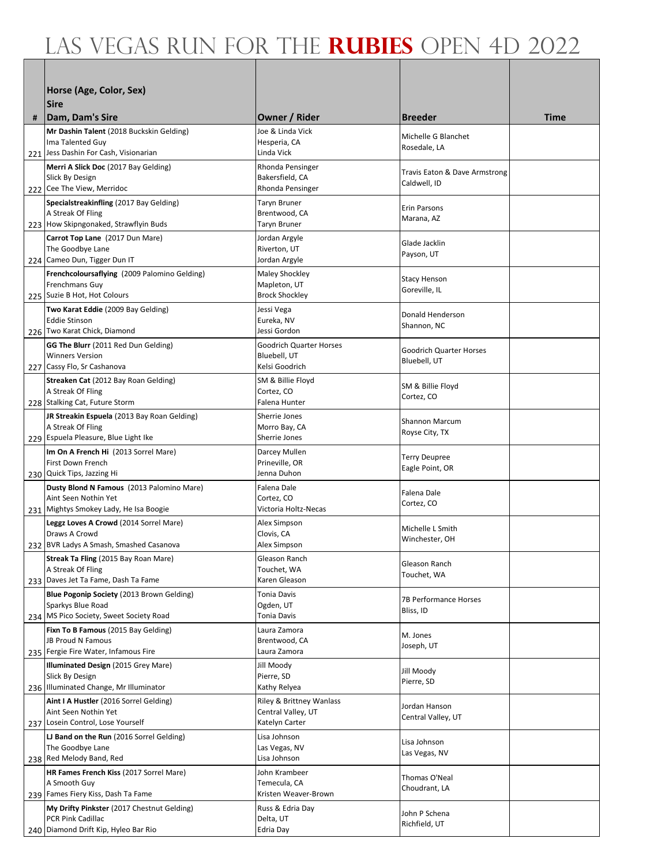|     | Horse (Age, Color, Sex)                                                          |                                          |                                               |      |
|-----|----------------------------------------------------------------------------------|------------------------------------------|-----------------------------------------------|------|
|     | <b>Sire</b>                                                                      |                                          |                                               |      |
| #   | Dam, Dam's Sire                                                                  | Owner / Rider                            | <b>Breeder</b>                                | Time |
|     | Mr Dashin Talent (2018 Buckskin Gelding)                                         | Joe & Linda Vick                         | Michelle G Blanchet                           |      |
|     | Ima Talented Guy<br>221 Jess Dashin For Cash, Visionarian                        | Hesperia, CA<br>Linda Vick               | Rosedale, LA                                  |      |
|     | Merri A Slick Doc (2017 Bay Gelding)                                             | Rhonda Pensinger                         |                                               |      |
|     | Slick By Design                                                                  | Bakersfield, CA                          | Travis Eaton & Dave Armstrong<br>Caldwell, ID |      |
|     | 222 Cee The View, Merridoc                                                       | Rhonda Pensinger                         |                                               |      |
|     | Specialstreakinfling (2017 Bay Gelding)<br>A Streak Of Fling                     | Taryn Bruner<br>Brentwood, CA            | <b>Erin Parsons</b>                           |      |
|     | 223 How Skipngonaked, Strawflyin Buds                                            | <b>Taryn Bruner</b>                      | Marana, AZ                                    |      |
|     | Carrot Top Lane (2017 Dun Mare)                                                  | Jordan Argyle                            | Glade Jacklin                                 |      |
|     | The Goodbye Lane                                                                 | Riverton, UT                             | Payson, UT                                    |      |
|     | 224 Cameo Dun, Tigger Dun IT<br>Frenchcoloursaflying (2009 Palomino Gelding)     | Jordan Argyle<br>Maley Shockley          |                                               |      |
|     | Frenchmans Guy                                                                   | Mapleton, UT                             | <b>Stacy Henson</b><br>Goreville, IL          |      |
|     | 225 Suzie B Hot, Hot Colours                                                     | <b>Brock Shockley</b>                    |                                               |      |
|     | Two Karat Eddie (2009 Bay Gelding)<br><b>Eddie Stinson</b>                       | Jessi Vega<br>Eureka, NV                 | Donald Henderson                              |      |
|     | 226 Two Karat Chick, Diamond                                                     | Jessi Gordon                             | Shannon, NC                                   |      |
|     | GG The Blurr (2011 Red Dun Gelding)                                              | <b>Goodrich Quarter Horses</b>           | <b>Goodrich Quarter Horses</b>                |      |
|     | <b>Winners Version</b>                                                           | Bluebell, UT<br>Kelsi Goodrich           | Bluebell, UT                                  |      |
|     | 227 Cassy Flo, Sr Cashanova<br>Streaken Cat (2012 Bay Roan Gelding)              | SM & Billie Floyd                        |                                               |      |
|     | A Streak Of Fling                                                                | Cortez, CO                               | SM & Billie Floyd                             |      |
|     | 228 Stalking Cat, Future Storm                                                   | Falena Hunter                            | Cortez, CO                                    |      |
|     | JR Streakin Espuela (2013 Bay Roan Gelding)                                      | Sherrie Jones                            | <b>Shannon Marcum</b>                         |      |
|     | A Streak Of Fling<br>229 Espuela Pleasure, Blue Light Ike                        | Morro Bay, CA<br>Sherrie Jones           | Royse City, TX                                |      |
|     | Im On A French Hi (2013 Sorrel Mare)                                             | Darcey Mullen                            |                                               |      |
|     | First Down French                                                                | Prineville, OR                           | <b>Terry Deupree</b><br>Eagle Point, OR       |      |
|     | 230 Quick Tips, Jazzing Hi                                                       | Jenna Duhon                              |                                               |      |
|     | Dusty Blond N Famous (2013 Palomino Mare)<br>Aint Seen Nothin Yet                | Falena Dale<br>Cortez. CO                | Falena Dale                                   |      |
|     | 231 Mightys Smokey Lady, He Isa Boogie                                           | Victoria Holtz-Necas                     | Cortez, CO                                    |      |
|     | Leggz Loves A Crowd (2014 Sorrel Mare)                                           | Alex Simpson                             | Michelle L Smith                              |      |
|     | Draws A Crowd<br>232 BVR Ladys A Smash, Smashed Casanova                         | Clovis, CA<br>Alex Simpson               | Winchester, OH                                |      |
|     | Streak Ta Fling (2015 Bay Roan Mare)                                             | Gleason Ranch                            |                                               |      |
|     | A Streak Of Fling                                                                | Touchet, WA                              | Gleason Ranch<br>Touchet, WA                  |      |
|     | 233 Daves Jet Ta Fame, Dash Ta Fame                                              | Karen Gleason                            |                                               |      |
|     | Blue Pogonip Society (2013 Brown Gelding)<br>Sparkys Blue Road                   | <b>Tonia Davis</b><br>Ogden, UT          | 7B Performance Horses                         |      |
|     | 234 MS Pico Society, Sweet Society Road                                          | <b>Tonia Davis</b>                       | Bliss, ID                                     |      |
|     | Fixn To B Famous (2015 Bay Gelding)                                              | Laura Zamora                             | M. Jones                                      |      |
|     | JB Proud N Famous<br>235 Fergie Fire Water, Infamous Fire                        | Brentwood, CA<br>Laura Zamora            | Joseph, UT                                    |      |
|     | Illuminated Design (2015 Grey Mare)                                              | Jill Moody                               |                                               |      |
|     | Slick By Design                                                                  | Pierre, SD                               | Jill Moody<br>Pierre, SD                      |      |
|     | 236 Illuminated Change, Mr Illuminator<br>Aint I A Hustler (2016 Sorrel Gelding) | Kathy Relyea<br>Riley & Brittney Wanlass |                                               |      |
|     | Aint Seen Nothin Yet                                                             | Central Valley, UT                       | Jordan Hanson                                 |      |
| 237 | Losein Control, Lose Yourself                                                    | Katelyn Carter                           | Central Valley, UT                            |      |
|     | LJ Band on the Run (2016 Sorrel Gelding)                                         | Lisa Johnson                             | Lisa Johnson                                  |      |
|     | The Goodbye Lane<br>238 Red Melody Band, Red                                     | Las Vegas, NV<br>Lisa Johnson            | Las Vegas, NV                                 |      |
|     | HR Fames French Kiss (2017 Sorrel Mare)                                          | John Krambeer                            |                                               |      |
|     | A Smooth Guy                                                                     | Temecula, CA                             | Thomas O'Neal<br>Choudrant, LA                |      |
|     | 239 Fames Fiery Kiss, Dash Ta Fame                                               | Kristen Weaver-Brown                     |                                               |      |
|     | My Drifty Pinkster (2017 Chestnut Gelding)<br>PCR Pink Cadillac                  | Russ & Edria Day<br>Delta, UT            | John P Schena                                 |      |
|     | 240 Diamond Drift Kip, Hyleo Bar Rio                                             | Edria Day                                | Richfield, UT                                 |      |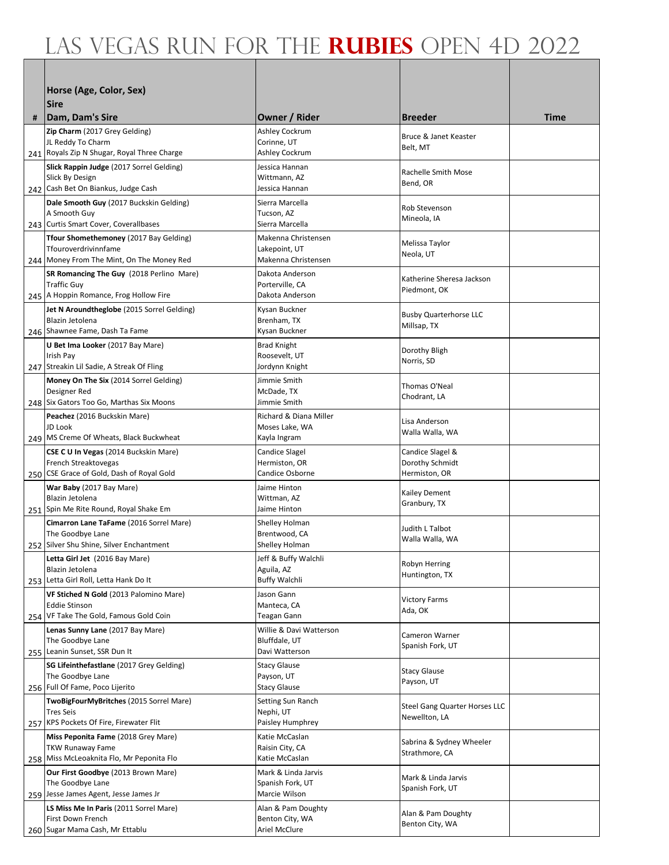|     | Horse (Age, Color, Sex)                                                        |                                         |                                                |      |
|-----|--------------------------------------------------------------------------------|-----------------------------------------|------------------------------------------------|------|
|     | <b>Sire</b>                                                                    |                                         |                                                |      |
| #   | Dam, Dam's Sire                                                                | Owner / Rider                           | <b>Breeder</b>                                 | Time |
|     | Zip Charm (2017 Grey Gelding)                                                  | Ashley Cockrum                          | Bruce & Janet Keaster                          |      |
|     | JL Reddy To Charm<br>241 Royals Zip N Shugar, Royal Three Charge               | Corinne, UT<br>Ashley Cockrum           | Belt, MT                                       |      |
|     | Slick Rappin Judge (2017 Sorrel Gelding)                                       | Jessica Hannan                          | Rachelle Smith Mose                            |      |
|     | Slick By Design                                                                | Wittmann, AZ                            | Bend, OR                                       |      |
|     | 242 Cash Bet On Biankus, Judge Cash<br>Dale Smooth Guy (2017 Buckskin Gelding) | Jessica Hannan<br>Sierra Marcella       |                                                |      |
|     | A Smooth Guy                                                                   | Tucson, AZ                              | Rob Stevenson<br>Mineola, IA                   |      |
|     | 243 Curtis Smart Cover, Coverallbases                                          | Sierra Marcella                         |                                                |      |
|     | Tfour Shomethemoney (2017 Bay Gelding)<br>Tfouroverdrivinnfame                 | Makenna Christensen<br>Lakepoint, UT    | Melissa Taylor                                 |      |
|     | 244 Money From The Mint, On The Money Red                                      | Makenna Christensen                     | Neola, UT                                      |      |
|     | SR Romancing The Guy (2018 Perlino Mare)                                       | Dakota Anderson                         | Katherine Sheresa Jackson                      |      |
|     | <b>Traffic Guy</b><br>245   A Hoppin Romance, Frog Hollow Fire                 | Porterville, CA<br>Dakota Anderson      | Piedmont, OK                                   |      |
|     | Jet N Aroundtheglobe (2015 Sorrel Gelding)                                     | Kysan Buckner                           | <b>Busby Quarterhorse LLC</b>                  |      |
|     | Blazin Jetolena                                                                | Brenham, TX                             | Millsap, TX                                    |      |
|     | 246 Shawnee Fame, Dash Ta Fame<br>U Bet Ima Looker (2017 Bay Mare)             | Kysan Buckner<br><b>Brad Knight</b>     |                                                |      |
|     | Irish Pay                                                                      | Roosevelt, UT                           | Dorothy Bligh<br>Norris, SD                    |      |
|     | 247 Streakin Lil Sadie, A Streak Of Fling                                      | Jordynn Knight                          |                                                |      |
|     | Money On The Six (2014 Sorrel Gelding)<br>Designer Red                         | Jimmie Smith<br>McDade, TX              | Thomas O'Neal                                  |      |
|     | 248   Six Gators Too Go, Marthas Six Moons                                     | Jimmie Smith                            | Chodrant, LA                                   |      |
|     | Peachez (2016 Buckskin Mare)                                                   | Richard & Diana Miller                  | Lisa Anderson                                  |      |
|     | JD Look<br>249 MS Creme Of Wheats, Black Buckwheat                             | Moses Lake, WA<br>Kayla Ingram          | Walla Walla, WA                                |      |
|     | CSE C U In Vegas (2014 Buckskin Mare)                                          | <b>Candice Slagel</b>                   | Candice Slagel &                               |      |
|     | French Streaktovegas<br>250 CSE Grace of Gold, Dash of Royal Gold              | Hermiston, OR<br>Candice Osborne        | Dorothy Schmidt<br>Hermiston, OR               |      |
|     | War Baby (2017 Bay Mare)                                                       | Jaime Hinton                            |                                                |      |
|     | Blazin Jetolena<br>251 Spin Me Rite Round, Royal Shake Em                      | Wittman, AZ<br>Jaime Hinton             | Kailey Dement<br>Granbury, TX                  |      |
|     | Cimarron Lane TaFame (2016 Sorrel Mare)                                        | Shelley Holman                          |                                                |      |
|     | The Goodbye Lane                                                               | Brentwood, CA                           | Judith L Talbot<br>Walla Walla, WA             |      |
|     | 252 Silver Shu Shine, Silver Enchantment                                       | Shelley Holman                          |                                                |      |
|     | Letta Girl Jet (2016 Bay Mare)<br>Blazin Jetolena                              | Jeff & Buffy Walchli<br>Aguila, AZ      | Robyn Herring                                  |      |
|     | 253 Letta Girl Roll, Letta Hank Do It                                          | <b>Buffy Walchli</b>                    | Huntington, TX                                 |      |
|     | VF Stiched N Gold (2013 Palomino Mare)<br><b>Eddie Stinson</b>                 | Jason Gann<br>Manteca, CA               | <b>Victory Farms</b>                           |      |
|     | 254 VF Take The Gold, Famous Gold Coin                                         | <b>Teagan Gann</b>                      | Ada, OK                                        |      |
|     | Lenas Sunny Lane (2017 Bay Mare)                                               | Willie & Davi Watterson                 | Cameron Warner                                 |      |
|     | The Goodbye Lane<br>255 Leanin Sunset, SSR Dun It                              | Bluffdale, UT<br>Davi Watterson         | Spanish Fork, UT                               |      |
|     | <b>SG Lifeinthefastlane</b> (2017 Grey Gelding)                                | <b>Stacy Glause</b>                     | <b>Stacy Glause</b>                            |      |
|     | The Goodbye Lane<br>256 Full Of Fame, Poco Lijerito                            | Payson, UT<br><b>Stacy Glause</b>       | Payson, UT                                     |      |
|     | TwoBigFourMyBritches (2015 Sorrel Mare)                                        | Setting Sun Ranch                       |                                                |      |
|     | <b>Tres Seis</b>                                                               | Nephi, UT                               | Steel Gang Quarter Horses LLC<br>Newellton, LA |      |
|     | 257 KPS Pockets Of Fire, Firewater Flit<br>Miss Peponita Fame (2018 Grey Mare) | Paisley Humphrey<br>Katie McCaslan      |                                                |      |
|     | <b>TKW Runaway Fame</b>                                                        | Raisin City, CA                         | Sabrina & Sydney Wheeler<br>Strathmore, CA     |      |
| 258 | Miss McLeoaknita Flo, Mr Peponita Flo                                          | Katie McCaslan                          |                                                |      |
|     | Our First Goodbye (2013 Brown Mare)<br>The Goodbye Lane                        | Mark & Linda Jarvis<br>Spanish Fork, UT | Mark & Linda Jarvis                            |      |
|     | 259 Jesse James Agent, Jesse James Jr                                          | Marcie Wilson                           | Spanish Fork, UT                               |      |
|     | <b>LS Miss Me In Paris (2011 Sorrel Mare)</b><br>First Down French             | Alan & Pam Doughty<br>Benton City, WA   | Alan & Pam Doughty                             |      |
|     | 260 Sugar Mama Cash, Mr Ettablu                                                | Ariel McClure                           | Benton City, WA                                |      |